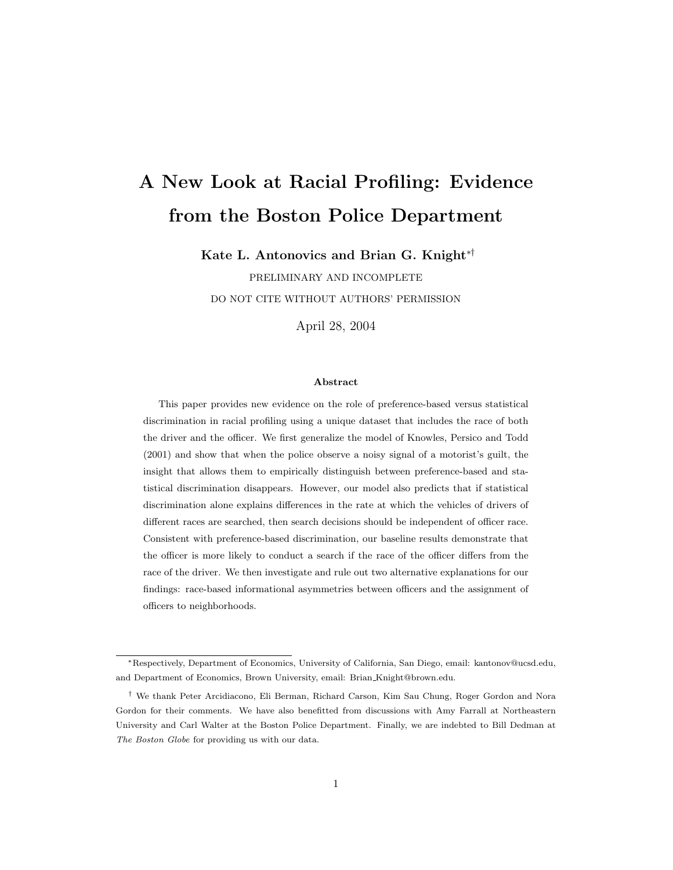# A New Look at Racial Profiling: Evidence from the Boston Police Department

Kate L. Antonovics and Brian G. Knight∗†

PRELIMINARY AND INCOMPLETE DO NOT CITE WITHOUT AUTHORS' PERMISSION

April 28, 2004

#### Abstract

This paper provides new evidence on the role of preference-based versus statistical discrimination in racial profiling using a unique dataset that includes the race of both the driver and the officer. We first generalize the model of Knowles, Persico and Todd (2001) and show that when the police observe a noisy signal of a motorist's guilt, the insight that allows them to empirically distinguish between preference-based and statistical discrimination disappears. However, our model also predicts that if statistical discrimination alone explains differences in the rate at which the vehicles of drivers of different races are searched, then search decisions should be independent of officer race. Consistent with preference-based discrimination, our baseline results demonstrate that the officer is more likely to conduct a search if the race of the officer differs from the race of the driver. We then investigate and rule out two alternative explanations for our findings: race-based informational asymmetries between officers and the assignment of officers to neighborhoods.

<sup>∗</sup>Respectively, Department of Economics, University of California, San Diego, email: kantonov@ucsd.edu, and Department of Economics, Brown University, email: Brian Knight@brown.edu.

<sup>†</sup> We thank Peter Arcidiacono, Eli Berman, Richard Carson, Kim Sau Chung, Roger Gordon and Nora Gordon for their comments. We have also benefitted from discussions with Amy Farrall at Northeastern University and Carl Walter at the Boston Police Department. Finally, we are indebted to Bill Dedman at The Boston Globe for providing us with our data.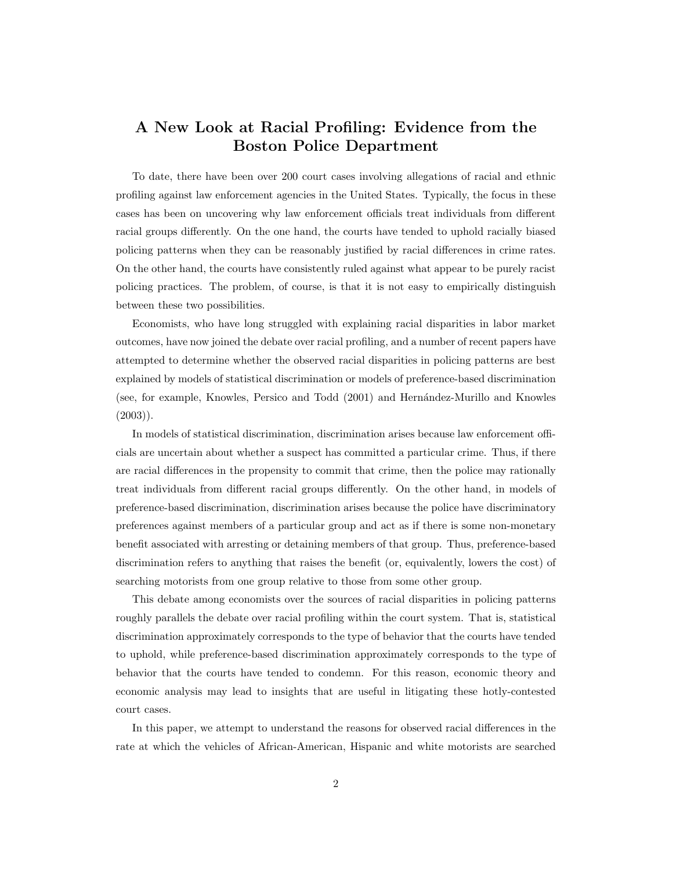# A New Look at Racial Profiling: Evidence from the Boston Police Department

To date, there have been over 200 court cases involving allegations of racial and ethnic profiling against law enforcement agencies in the United States. Typically, the focus in these cases has been on uncovering why law enforcement officials treat individuals from different racial groups differently. On the one hand, the courts have tended to uphold racially biased policing patterns when they can be reasonably justified by racial differences in crime rates. On the other hand, the courts have consistently ruled against what appear to be purely racist policing practices. The problem, of course, is that it is not easy to empirically distinguish between these two possibilities.

Economists, who have long struggled with explaining racial disparities in labor market outcomes, have now joined the debate over racial profiling, and a number of recent papers have attempted to determine whether the observed racial disparities in policing patterns are best explained by models of statistical discrimination or models of preference-based discrimination (see, for example, Knowles, Persico and Todd (2001) and Hernández-Murillo and Knowles  $(2003)$ .

In models of statistical discrimination, discrimination arises because law enforcement officials are uncertain about whether a suspect has committed a particular crime. Thus, if there are racial differences in the propensity to commit that crime, then the police may rationally treat individuals from different racial groups differently. On the other hand, in models of preference-based discrimination, discrimination arises because the police have discriminatory preferences against members of a particular group and act as if there is some non-monetary benefit associated with arresting or detaining members of that group. Thus, preference-based discrimination refers to anything that raises the benefit (or, equivalently, lowers the cost) of searching motorists from one group relative to those from some other group.

This debate among economists over the sources of racial disparities in policing patterns roughly parallels the debate over racial profiling within the court system. That is, statistical discrimination approximately corresponds to the type of behavior that the courts have tended to uphold, while preference-based discrimination approximately corresponds to the type of behavior that the courts have tended to condemn. For this reason, economic theory and economic analysis may lead to insights that are useful in litigating these hotly-contested court cases.

In this paper, we attempt to understand the reasons for observed racial differences in the rate at which the vehicles of African-American, Hispanic and white motorists are searched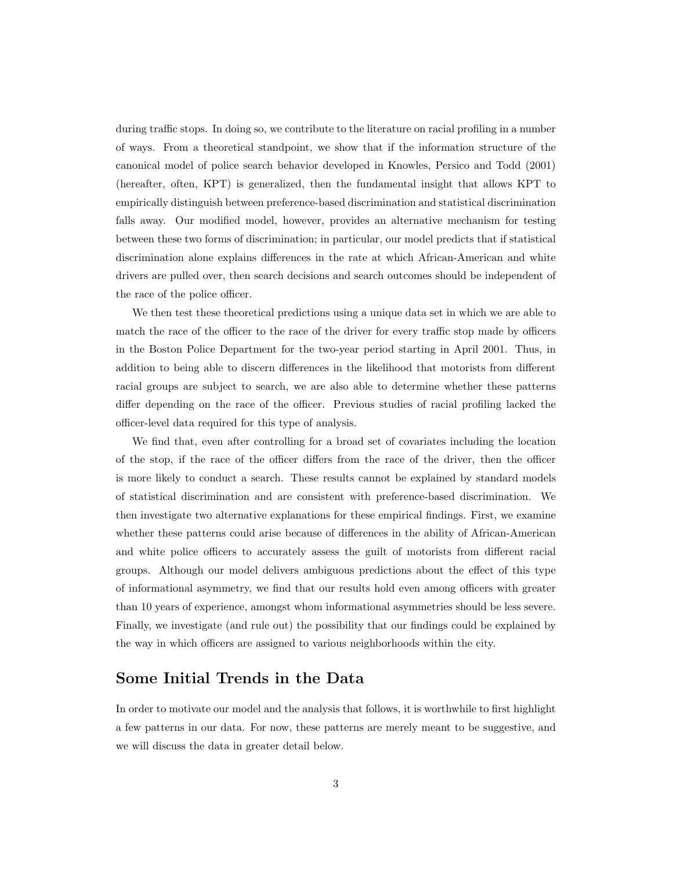during traffic stops. In doing so, we contribute to the literature on racial profiling in a number of ways. From a theoretical standpoint, we show that if the information structure of the canonical model of police search behavior developed in Knowles, Persico and Todd (2001) (hereafter, often, KPT) is generalized, then the fundamental insight that allows KPT to empirically distinguish between preference-based discrimination and statistical discrimination falls away. Our modified model, however, provides an alternative mechanism for testing between these two forms of discrimination; in particular, our model predicts that if statistical discrimination alone explains differences in the rate at which African-American and white drivers are pulled over, then search decisions and search outcomes should be independent of the race of the police officer.

We then test these theoretical predictions using a unique data set in which we are able to match the race of the officer to the race of the driver for every traffic stop made by officers in the Boston Police Department for the two-year period starting in April 2001. Thus, in addition to being able to discern differences in the likelihood that motorists from different racial groups are subject to search, we are also able to determine whether these patterns differ depending on the race of the officer. Previous studies of racial profiling lacked the officer-level data required for this type of analysis.

We find that, even after controlling for a broad set of covariates including the location of the stop, if the race of the officer differs from the race of the driver, then the officer is more likely to conduct a search. These results cannot be explained by standard models of statistical discrimination and are consistent with preference-based discrimination. We then investigate two alternative explanations for these empirical findings. First, we examine whether these patterns could arise because of differences in the ability of African-American and white police officers to accurately assess the guilt of motorists from different racial groups. Although our model delivers ambiguous predictions about the effect of this type of informational asymmetry, we find that our results hold even among officers with greater than 10 years of experience, amongst whom informational asymmetries should be less severe. Finally, we investigate (and rule out) the possibility that our findings could be explained by the way in which officers are assigned to various neighborhoods within the city.

# Some Initial Trends in the Data

In order to motivate our model and the analysis that follows, it is worthwhile to first highlight a few patterns in our data. For now, these patterns are merely meant to be suggestive, and we will discuss the data in greater detail below.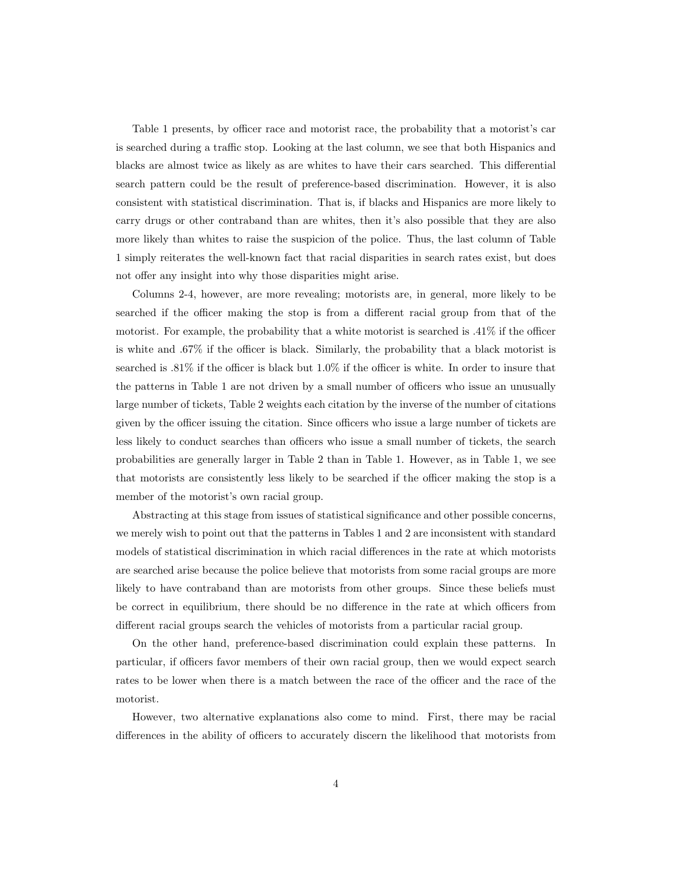Table 1 presents, by officer race and motorist race, the probability that a motorist's car is searched during a traffic stop. Looking at the last column, we see that both Hispanics and blacks are almost twice as likely as are whites to have their cars searched. This differential search pattern could be the result of preference-based discrimination. However, it is also consistent with statistical discrimination. That is, if blacks and Hispanics are more likely to carry drugs or other contraband than are whites, then it's also possible that they are also more likely than whites to raise the suspicion of the police. Thus, the last column of Table 1 simply reiterates the well-known fact that racial disparities in search rates exist, but does not offer any insight into why those disparities might arise.

Columns 2-4, however, are more revealing; motorists are, in general, more likely to be searched if the officer making the stop is from a different racial group from that of the motorist. For example, the probability that a white motorist is searched is .41% if the officer is white and .67% if the officer is black. Similarly, the probability that a black motorist is searched is .81% if the officer is black but 1.0% if the officer is white. In order to insure that the patterns in Table 1 are not driven by a small number of officers who issue an unusually large number of tickets, Table 2 weights each citation by the inverse of the number of citations given by the officer issuing the citation. Since officers who issue a large number of tickets are less likely to conduct searches than officers who issue a small number of tickets, the search probabilities are generally larger in Table 2 than in Table 1. However, as in Table 1, we see that motorists are consistently less likely to be searched if the officer making the stop is a member of the motorist's own racial group.

Abstracting at this stage from issues of statistical significance and other possible concerns, we merely wish to point out that the patterns in Tables 1 and 2 are inconsistent with standard models of statistical discrimination in which racial differences in the rate at which motorists are searched arise because the police believe that motorists from some racial groups are more likely to have contraband than are motorists from other groups. Since these beliefs must be correct in equilibrium, there should be no difference in the rate at which officers from different racial groups search the vehicles of motorists from a particular racial group.

On the other hand, preference-based discrimination could explain these patterns. In particular, if officers favor members of their own racial group, then we would expect search rates to be lower when there is a match between the race of the officer and the race of the motorist.

However, two alternative explanations also come to mind. First, there may be racial differences in the ability of officers to accurately discern the likelihood that motorists from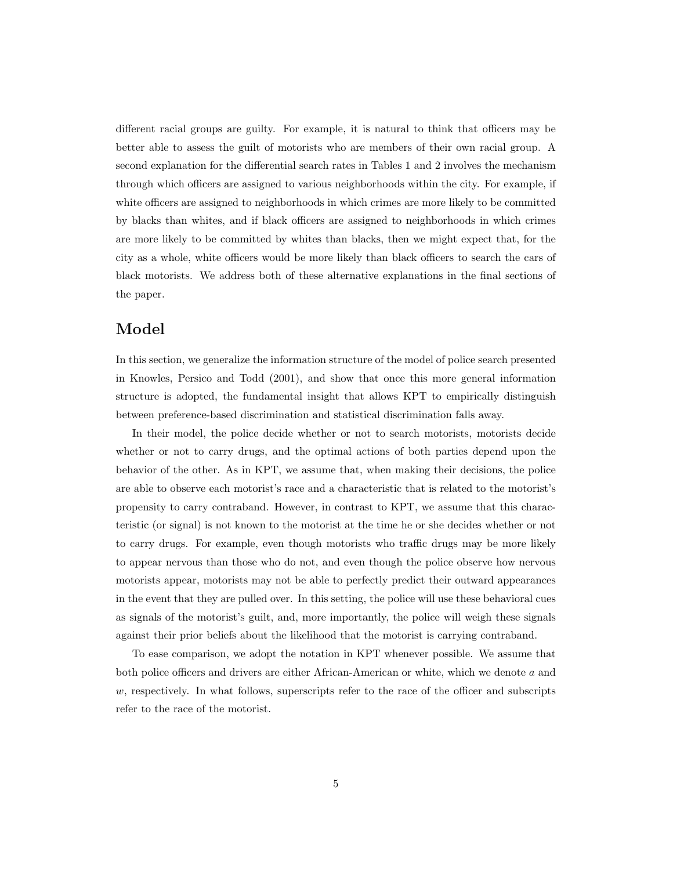different racial groups are guilty. For example, it is natural to think that officers may be better able to assess the guilt of motorists who are members of their own racial group. A second explanation for the differential search rates in Tables 1 and 2 involves the mechanism through which officers are assigned to various neighborhoods within the city. For example, if white officers are assigned to neighborhoods in which crimes are more likely to be committed by blacks than whites, and if black officers are assigned to neighborhoods in which crimes are more likely to be committed by whites than blacks, then we might expect that, for the city as a whole, white officers would be more likely than black officers to search the cars of black motorists. We address both of these alternative explanations in the final sections of the paper.

## Model

In this section, we generalize the information structure of the model of police search presented in Knowles, Persico and Todd (2001), and show that once this more general information structure is adopted, the fundamental insight that allows KPT to empirically distinguish between preference-based discrimination and statistical discrimination falls away.

In their model, the police decide whether or not to search motorists, motorists decide whether or not to carry drugs, and the optimal actions of both parties depend upon the behavior of the other. As in KPT, we assume that, when making their decisions, the police are able to observe each motorist's race and a characteristic that is related to the motorist's propensity to carry contraband. However, in contrast to KPT, we assume that this characteristic (or signal) is not known to the motorist at the time he or she decides whether or not to carry drugs. For example, even though motorists who traffic drugs may be more likely to appear nervous than those who do not, and even though the police observe how nervous motorists appear, motorists may not be able to perfectly predict their outward appearances in the event that they are pulled over. In this setting, the police will use these behavioral cues as signals of the motorist's guilt, and, more importantly, the police will weigh these signals against their prior beliefs about the likelihood that the motorist is carrying contraband.

To ease comparison, we adopt the notation in KPT whenever possible. We assume that both police officers and drivers are either African-American or white, which we denote a and  $w$ , respectively. In what follows, superscripts refer to the race of the officer and subscripts refer to the race of the motorist.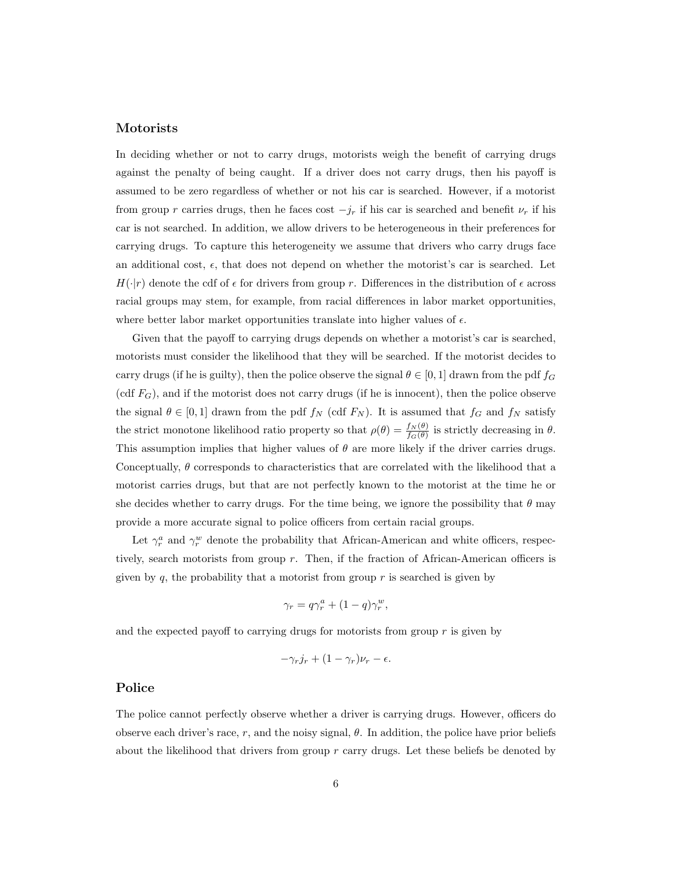#### Motorists

In deciding whether or not to carry drugs, motorists weigh the benefit of carrying drugs against the penalty of being caught. If a driver does not carry drugs, then his payoff is assumed to be zero regardless of whether or not his car is searched. However, if a motorist from group r carries drugs, then he faces cost  $-j_r$  if his car is searched and benefit  $\nu_r$  if his car is not searched. In addition, we allow drivers to be heterogeneous in their preferences for carrying drugs. To capture this heterogeneity we assume that drivers who carry drugs face an additional cost,  $\epsilon$ , that does not depend on whether the motorist's car is searched. Let  $H(\cdot|r)$  denote the cdf of  $\epsilon$  for drivers from group r. Differences in the distribution of  $\epsilon$  across racial groups may stem, for example, from racial differences in labor market opportunities, where better labor market opportunities translate into higher values of  $\epsilon$ .

Given that the payoff to carrying drugs depends on whether a motorist's car is searched, motorists must consider the likelihood that they will be searched. If the motorist decides to carry drugs (if he is guilty), then the police observe the signal  $\theta \in [0, 1]$  drawn from the pdf  $f_G$  $(\text{cdf } F_G)$ , and if the motorist does not carry drugs (if he is innocent), then the police observe the signal  $\theta \in [0,1]$  drawn from the pdf  $f_N$  (cdf  $F_N$ ). It is assumed that  $f_G$  and  $f_N$  satisfy the strict monotone likelihood ratio property so that  $\rho(\theta) = \frac{f_N(\theta)}{f_G(\theta)}$  is strictly decreasing in  $\theta$ . This assumption implies that higher values of  $\theta$  are more likely if the driver carries drugs. Conceptually,  $\theta$  corresponds to characteristics that are correlated with the likelihood that a motorist carries drugs, but that are not perfectly known to the motorist at the time he or she decides whether to carry drugs. For the time being, we ignore the possibility that  $\theta$  may provide a more accurate signal to police officers from certain racial groups.

Let  $\gamma_r^a$  and  $\gamma_r^w$  denote the probability that African-American and white officers, respectively, search motorists from group r. Then, if the fraction of African-American officers is given by  $q$ , the probability that a motorist from group  $r$  is searched is given by

$$
\gamma_r = q\gamma_r^a + (1-q)\gamma_r^w,
$$

and the expected payoff to carrying drugs for motorists from group  $r$  is given by

$$
-\gamma_r j_r + (1 - \gamma_r)\nu_r - \epsilon.
$$

#### Police

The police cannot perfectly observe whether a driver is carrying drugs. However, officers do observe each driver's race, r, and the noisy signal,  $\theta$ . In addition, the police have prior beliefs about the likelihood that drivers from group  $r$  carry drugs. Let these beliefs be denoted by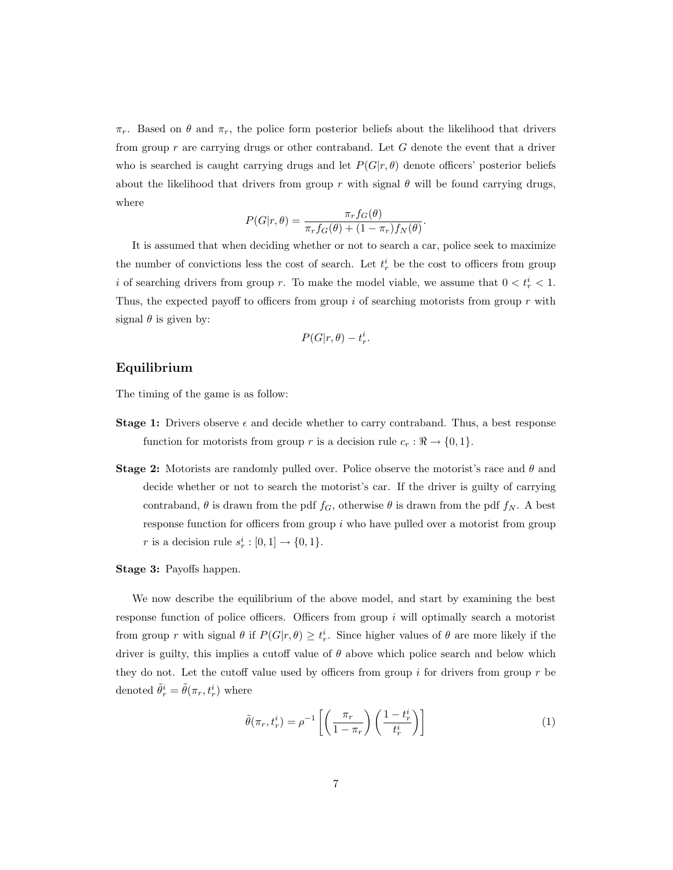$\pi_r$ . Based on  $\theta$  and  $\pi_r$ , the police form posterior beliefs about the likelihood that drivers from group  $r$  are carrying drugs or other contraband. Let  $G$  denote the event that a driver who is searched is caught carrying drugs and let  $P(G|r, \theta)$  denote officers' posterior beliefs about the likelihood that drivers from group r with signal  $\theta$  will be found carrying drugs, where

$$
P(G|r,\theta) = \frac{\pi_r f_G(\theta)}{\pi_r f_G(\theta) + (1 - \pi_r) f_N(\theta)}.
$$

It is assumed that when deciding whether or not to search a car, police seek to maximize the number of convictions less the cost of search. Let  $t_r^i$  be the cost to officers from group i of searching drivers from group r. To make the model viable, we assume that  $0 < t_r^i < 1$ . Thus, the expected payoff to officers from group  $i$  of searching motorists from group  $r$  with signal  $\theta$  is given by:

$$
P(G|r,\theta)-t^i_r.
$$

#### Equilibrium

The timing of the game is as follow:

- **Stage 1:** Drivers observe  $\epsilon$  and decide whether to carry contraband. Thus, a best response function for motorists from group r is a decision rule  $c_r : \mathbb{R} \to \{0, 1\}.$
- **Stage 2:** Motorists are randomly pulled over. Police observe the motorist's race and  $\theta$  and decide whether or not to search the motorist's car. If the driver is guilty of carrying contraband,  $\theta$  is drawn from the pdf  $f_G$ , otherwise  $\theta$  is drawn from the pdf  $f_N$ . A best response function for officers from group  $i$  who have pulled over a motorist from group r is a decision rule  $s_r^i : [0,1] \rightarrow \{0,1\}.$
- Stage 3: Payoffs happen.

We now describe the equilibrium of the above model, and start by examining the best response function of police officers. Officers from group i will optimally search a motorist from group r with signal  $\theta$  if  $P(G|r, \theta) \geq t_r^i$ . Since higher values of  $\theta$  are more likely if the driver is guilty, this implies a cutoff value of  $\theta$  above which police search and below which they do not. Let the cutoff value used by officers from group i for drivers from group r be denoted  $\tilde{\theta}_r^i = \tilde{\theta}(\pi_r, t_r^i)$  where

$$
\tilde{\theta}(\pi_r, t_r^i) = \rho^{-1} \left[ \left( \frac{\pi_r}{1 - \pi_r} \right) \left( \frac{1 - t_r^i}{t_r^i} \right) \right] \tag{1}
$$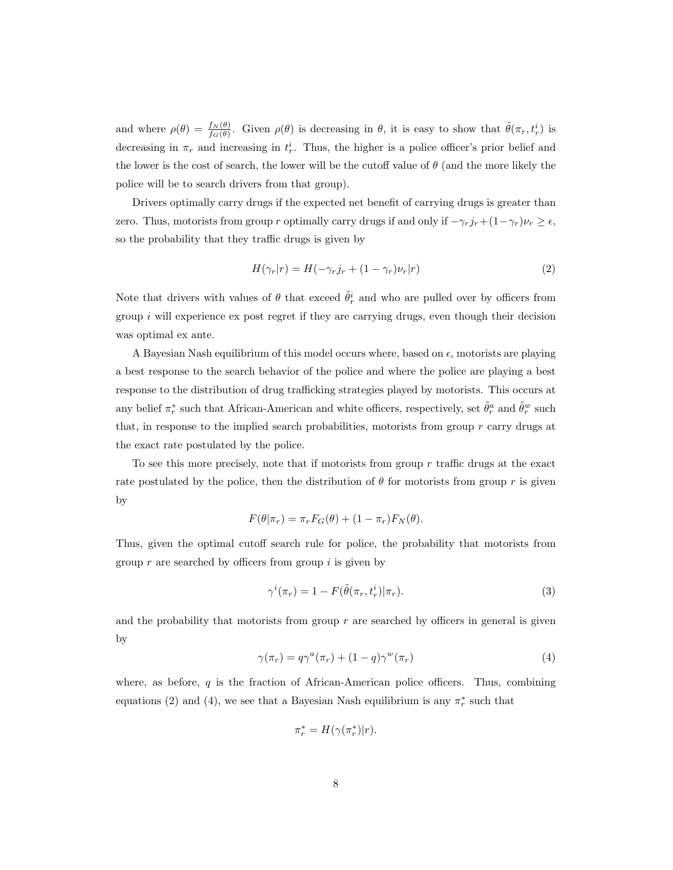and where  $\rho(\theta) = \frac{f_N(\theta)}{f_G(\theta)}$ . Given  $\rho(\theta)$  is decreasing in  $\theta$ , it is easy to show that  $\tilde{\theta}(\pi_r, t_r^i)$  is decreasing in  $\pi_r$  and increasing in  $t_r^i$ . Thus, the higher is a police officer's prior belief and the lower is the cost of search, the lower will be the cutoff value of  $\theta$  (and the more likely the police will be to search drivers from that group).

Drivers optimally carry drugs if the expected net benefit of carrying drugs is greater than zero. Thus, motorists from group r optimally carry drugs if and only if  $-\gamma_r j_r + (1-\gamma_r)\nu_r \geq \epsilon$ , so the probability that they traffic drugs is given by

$$
H(\gamma_r|r) = H(-\gamma_r j_r + (1 - \gamma_r)\nu_r|r)
$$
\n(2)

Note that drivers with values of  $\theta$  that exceed  $\tilde{\theta}_r^i$  and who are pulled over by officers from group  $i$  will experience ex post regret if they are carrying drugs, even though their decision was optimal ex ante.

A Bayesian Nash equilibrium of this model occurs where, based on  $\epsilon$ , motorists are playing a best response to the search behavior of the police and where the police are playing a best response to the distribution of drug trafficking strategies played by motorists. This occurs at any belief  $\pi_r^*$  such that African-American and white officers, respectively, set  $\tilde{\theta}_r^a$  and  $\tilde{\theta}_r^w$  such that, in response to the implied search probabilities, motorists from group  $r$  carry drugs at the exact rate postulated by the police.

To see this more precisely, note that if motorists from group  $r$  traffic drugs at the exact rate postulated by the police, then the distribution of  $\theta$  for motorists from group r is given by

$$
F(\theta|\pi_r) = \pi_r F_G(\theta) + (1 - \pi_r) F_N(\theta).
$$

Thus, given the optimal cutoff search rule for police, the probability that motorists from group  $r$  are searched by officers from group  $i$  is given by

$$
\gamma^{i}(\pi_r) = 1 - F(\tilde{\theta}(\pi_r, t_r^i) | \pi_r). \tag{3}
$$

and the probability that motorists from group  $r$  are searched by officers in general is given by

$$
\gamma(\pi_r) = q\gamma^a(\pi_r) + (1-q)\gamma^w(\pi_r) \tag{4}
$$

where, as before,  $q$  is the fraction of African-American police officers. Thus, combining equations (2) and (4), we see that a Bayesian Nash equilibrium is any  $\pi_r^*$  such that

$$
\pi_r^* = H(\gamma(\pi_r^*)|r).
$$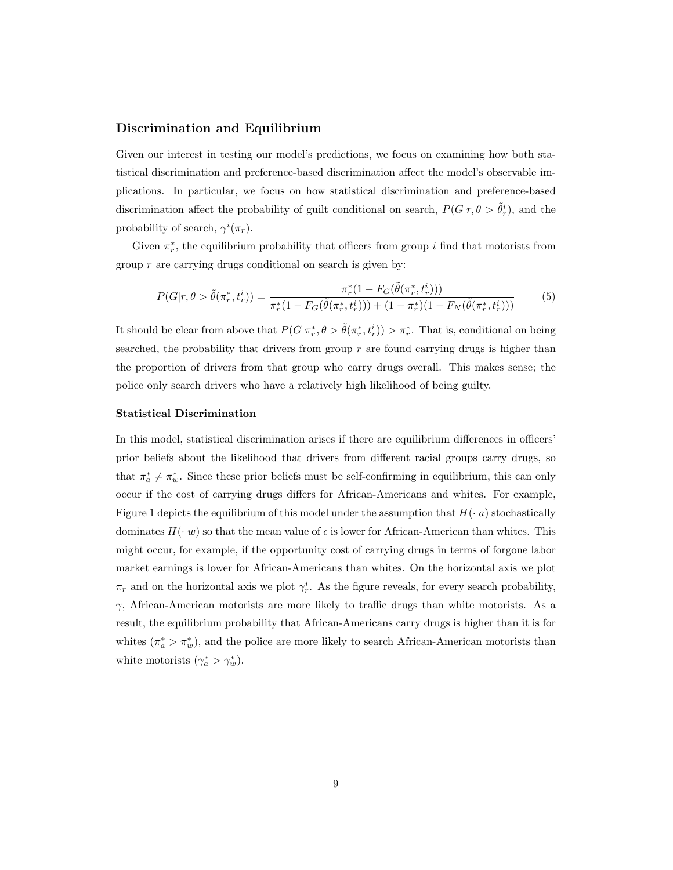#### Discrimination and Equilibrium

Given our interest in testing our model's predictions, we focus on examining how both statistical discrimination and preference-based discrimination affect the model's observable implications. In particular, we focus on how statistical discrimination and preference-based discrimination affect the probability of guilt conditional on search,  $P(G|r, \theta > \tilde{\theta}_r^i)$ , and the probability of search,  $\gamma^i(\pi_r)$ .

Given  $\pi_r^*$ , the equilibrium probability that officers from group i find that motorists from group  $r$  are carrying drugs conditional on search is given by:

$$
P(G|r,\theta > \tilde{\theta}(\pi_r^*, t_r^i)) = \frac{\pi_r^*(1 - F_G(\tilde{\theta}(\pi_r^*, t_r^i)))}{\pi_r^*(1 - F_G(\tilde{\theta}(\pi_r^*, t_r^i))) + (1 - \pi_r^*)(1 - F_N(\tilde{\theta}(\pi_r^*, t_r^i)))}
$$
(5)

It should be clear from above that  $P(G | \pi_r^*, \theta > \tilde{\theta}(\pi_r^*, t_r^i)) > \pi_r^*$ . That is, conditional on being searched, the probability that drivers from group  $r$  are found carrying drugs is higher than the proportion of drivers from that group who carry drugs overall. This makes sense; the police only search drivers who have a relatively high likelihood of being guilty.

#### Statistical Discrimination

In this model, statistical discrimination arises if there are equilibrium differences in officers' prior beliefs about the likelihood that drivers from different racial groups carry drugs, so that  $\pi_a^* \neq \pi_w^*$ . Since these prior beliefs must be self-confirming in equilibrium, this can only occur if the cost of carrying drugs differs for African-Americans and whites. For example, Figure 1 depicts the equilibrium of this model under the assumption that  $H(\cdot|a)$  stochastically dominates  $H(\cdot|w)$  so that the mean value of  $\epsilon$  is lower for African-American than whites. This might occur, for example, if the opportunity cost of carrying drugs in terms of forgone labor market earnings is lower for African-Americans than whites. On the horizontal axis we plot  $\pi_r$  and on the horizontal axis we plot  $\gamma_r^i$ . As the figure reveals, for every search probability,  $\gamma$ , African-American motorists are more likely to traffic drugs than white motorists. As a result, the equilibrium probability that African-Americans carry drugs is higher than it is for whites  $(\pi_a^* > \pi_w^*)$ , and the police are more likely to search African-American motorists than white motorists  $(\gamma_a^* > \gamma_w^*).$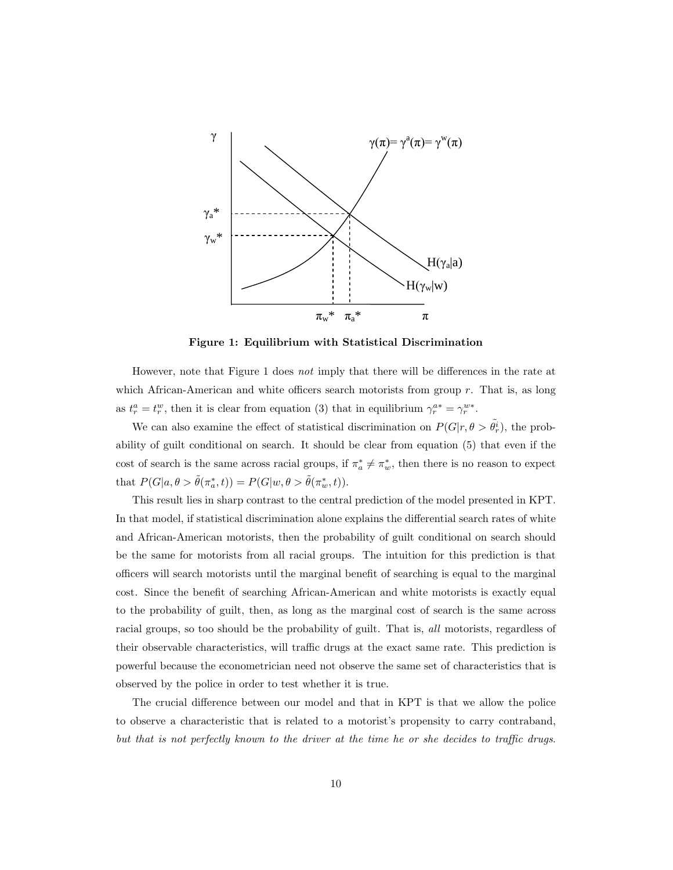

Figure 1: Equilibrium with Statistical Discrimination

However, note that Figure 1 does not imply that there will be differences in the rate at which African-American and white officers search motorists from group  $r$ . That is, as long as  $t_r^a = t_r^w$ , then it is clear from equation (3) that in equilibrium  $\gamma_r^{a*} = \gamma_r^{w*}$ .

We can also examine the effect of statistical discrimination on  $P(G|r, \theta > \tilde{\theta}_r)$ , the probability of guilt conditional on search. It should be clear from equation (5) that even if the cost of search is the same across racial groups, if  $\pi_a^* \neq \pi_w^*$ , then there is no reason to expect that  $P(G|a, \theta > \tilde{\theta}(\pi_a^*, t)) = P(G|w, \theta > \tilde{\theta}(\pi_w^*, t)).$ 

This result lies in sharp contrast to the central prediction of the model presented in KPT. In that model, if statistical discrimination alone explains the differential search rates of white and African-American motorists, then the probability of guilt conditional on search should be the same for motorists from all racial groups. The intuition for this prediction is that officers will search motorists until the marginal benefit of searching is equal to the marginal cost. Since the benefit of searching African-American and white motorists is exactly equal to the probability of guilt, then, as long as the marginal cost of search is the same across racial groups, so too should be the probability of guilt. That is, all motorists, regardless of their observable characteristics, will traffic drugs at the exact same rate. This prediction is powerful because the econometrician need not observe the same set of characteristics that is observed by the police in order to test whether it is true.

The crucial difference between our model and that in KPT is that we allow the police to observe a characteristic that is related to a motorist's propensity to carry contraband, but that is not perfectly known to the driver at the time he or she decides to traffic drugs.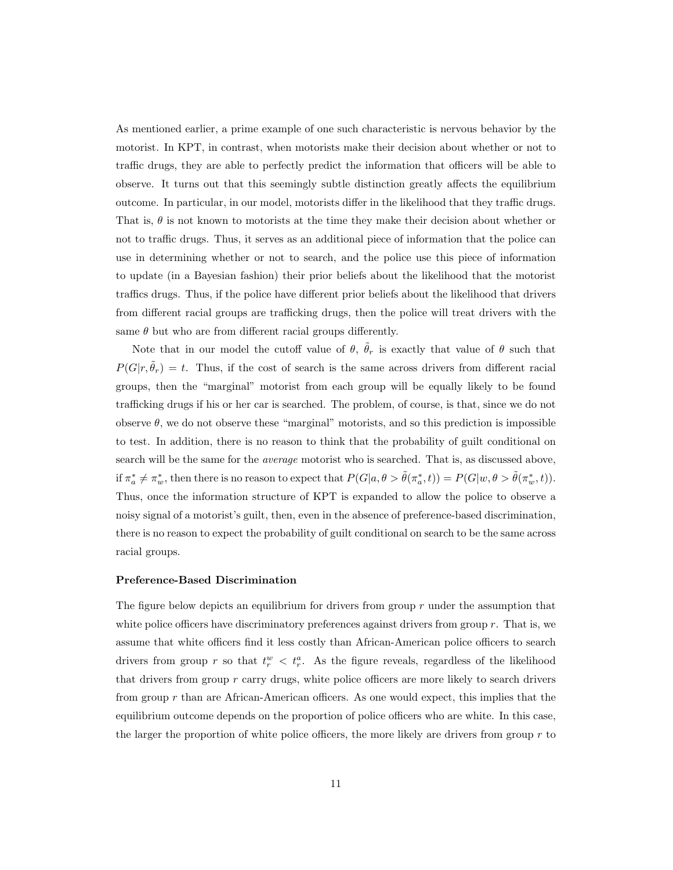As mentioned earlier, a prime example of one such characteristic is nervous behavior by the motorist. In KPT, in contrast, when motorists make their decision about whether or not to traffic drugs, they are able to perfectly predict the information that officers will be able to observe. It turns out that this seemingly subtle distinction greatly affects the equilibrium outcome. In particular, in our model, motorists differ in the likelihood that they traffic drugs. That is,  $\theta$  is not known to motorists at the time they make their decision about whether or not to traffic drugs. Thus, it serves as an additional piece of information that the police can use in determining whether or not to search, and the police use this piece of information to update (in a Bayesian fashion) their prior beliefs about the likelihood that the motorist traffics drugs. Thus, if the police have different prior beliefs about the likelihood that drivers from different racial groups are trafficking drugs, then the police will treat drivers with the same  $\theta$  but who are from different racial groups differently.

Note that in our model the cutoff value of  $\theta$ ,  $\tilde{\theta}_r$  is exactly that value of  $\theta$  such that  $P(G|r, \tilde{\theta}_r) = t$ . Thus, if the cost of search is the same across drivers from different racial groups, then the "marginal" motorist from each group will be equally likely to be found trafficking drugs if his or her car is searched. The problem, of course, is that, since we do not observe  $\theta$ , we do not observe these "marginal" motorists, and so this prediction is impossible to test. In addition, there is no reason to think that the probability of guilt conditional on search will be the same for the average motorist who is searched. That is, as discussed above, if  $\pi_a^* \neq \pi_w^*$ , then there is no reason to expect that  $P(G|a, \theta > \tilde{\theta}(\pi_a^*, t)) = P(G|w, \theta > \tilde{\theta}(\pi_w^*, t)).$ Thus, once the information structure of KPT is expanded to allow the police to observe a noisy signal of a motorist's guilt, then, even in the absence of preference-based discrimination, there is no reason to expect the probability of guilt conditional on search to be the same across racial groups.

#### Preference-Based Discrimination

The figure below depicts an equilibrium for drivers from group  $r$  under the assumption that white police officers have discriminatory preferences against drivers from group  $r$ . That is, we assume that white officers find it less costly than African-American police officers to search drivers from group r so that  $t_r^w < t_r^a$ . As the figure reveals, regardless of the likelihood that drivers from group  $r$  carry drugs, white police officers are more likely to search drivers from group  $r$  than are African-American officers. As one would expect, this implies that the equilibrium outcome depends on the proportion of police officers who are white. In this case, the larger the proportion of white police officers, the more likely are drivers from group  $r$  to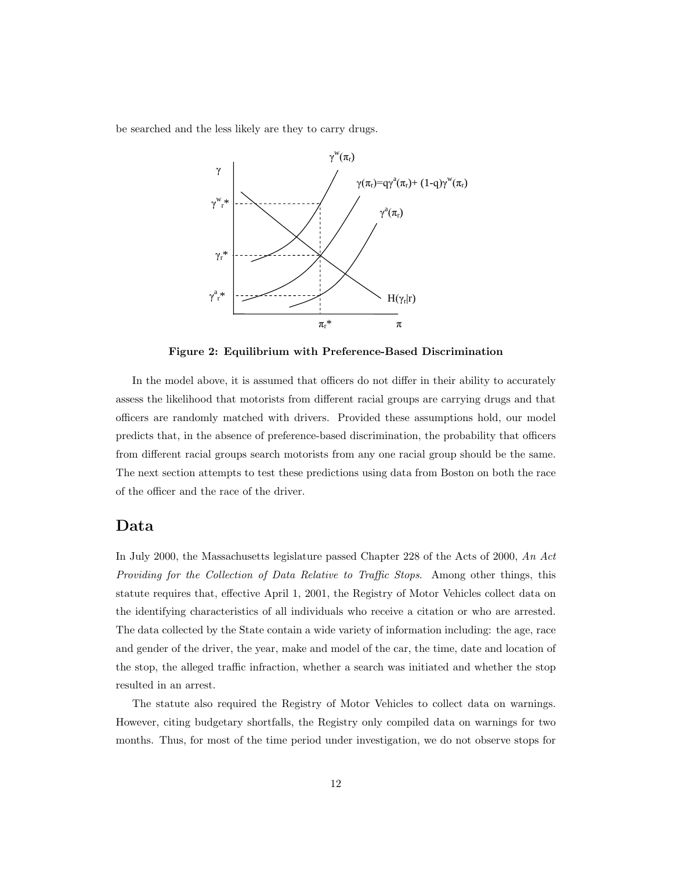be searched and the less likely are they to carry drugs.



Figure 2: Equilibrium with Preference-Based Discrimination

In the model above, it is assumed that officers do not differ in their ability to accurately assess the likelihood that motorists from different racial groups are carrying drugs and that officers are randomly matched with drivers. Provided these assumptions hold, our model predicts that, in the absence of preference-based discrimination, the probability that officers from different racial groups search motorists from any one racial group should be the same. The next section attempts to test these predictions using data from Boston on both the race of the officer and the race of the driver.

## Data

In July 2000, the Massachusetts legislature passed Chapter 228 of the Acts of 2000, An Act Providing for the Collection of Data Relative to Traffic Stops. Among other things, this statute requires that, effective April 1, 2001, the Registry of Motor Vehicles collect data on the identifying characteristics of all individuals who receive a citation or who are arrested. The data collected by the State contain a wide variety of information including: the age, race and gender of the driver, the year, make and model of the car, the time, date and location of the stop, the alleged traffic infraction, whether a search was initiated and whether the stop resulted in an arrest.

The statute also required the Registry of Motor Vehicles to collect data on warnings. However, citing budgetary shortfalls, the Registry only compiled data on warnings for two months. Thus, for most of the time period under investigation, we do not observe stops for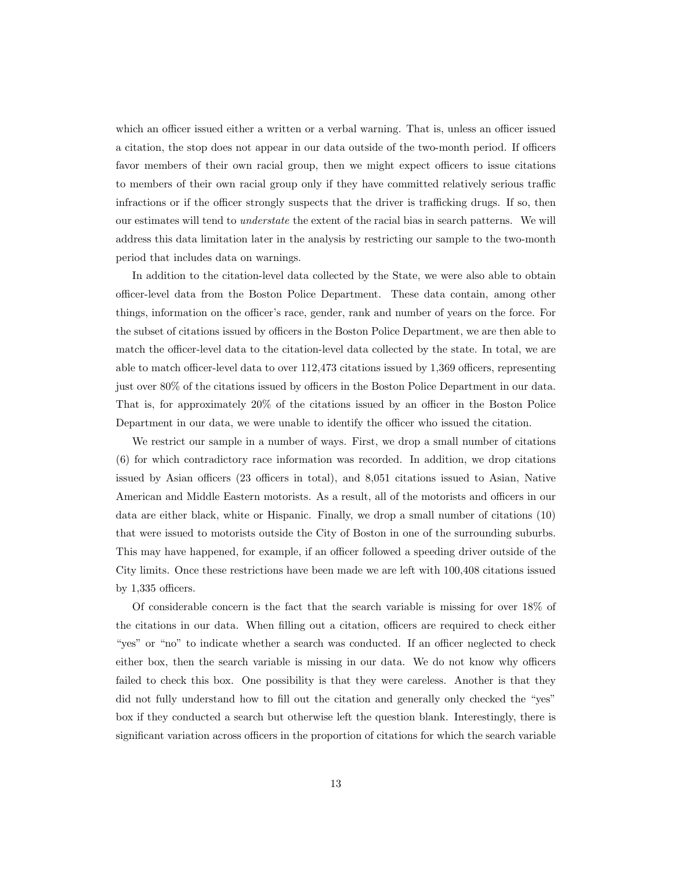which an officer issued either a written or a verbal warning. That is, unless an officer issued a citation, the stop does not appear in our data outside of the two-month period. If officers favor members of their own racial group, then we might expect officers to issue citations to members of their own racial group only if they have committed relatively serious traffic infractions or if the officer strongly suspects that the driver is trafficking drugs. If so, then our estimates will tend to understate the extent of the racial bias in search patterns. We will address this data limitation later in the analysis by restricting our sample to the two-month period that includes data on warnings.

In addition to the citation-level data collected by the State, we were also able to obtain officer-level data from the Boston Police Department. These data contain, among other things, information on the officer's race, gender, rank and number of years on the force. For the subset of citations issued by officers in the Boston Police Department, we are then able to match the officer-level data to the citation-level data collected by the state. In total, we are able to match officer-level data to over 112,473 citations issued by 1,369 officers, representing just over 80% of the citations issued by officers in the Boston Police Department in our data. That is, for approximately 20% of the citations issued by an officer in the Boston Police Department in our data, we were unable to identify the officer who issued the citation.

We restrict our sample in a number of ways. First, we drop a small number of citations (6) for which contradictory race information was recorded. In addition, we drop citations issued by Asian officers (23 officers in total), and 8,051 citations issued to Asian, Native American and Middle Eastern motorists. As a result, all of the motorists and officers in our data are either black, white or Hispanic. Finally, we drop a small number of citations (10) that were issued to motorists outside the City of Boston in one of the surrounding suburbs. This may have happened, for example, if an officer followed a speeding driver outside of the City limits. Once these restrictions have been made we are left with 100,408 citations issued by 1,335 officers.

Of considerable concern is the fact that the search variable is missing for over 18% of the citations in our data. When filling out a citation, officers are required to check either "yes" or "no" to indicate whether a search was conducted. If an officer neglected to check either box, then the search variable is missing in our data. We do not know why officers failed to check this box. One possibility is that they were careless. Another is that they did not fully understand how to fill out the citation and generally only checked the "yes" box if they conducted a search but otherwise left the question blank. Interestingly, there is significant variation across officers in the proportion of citations for which the search variable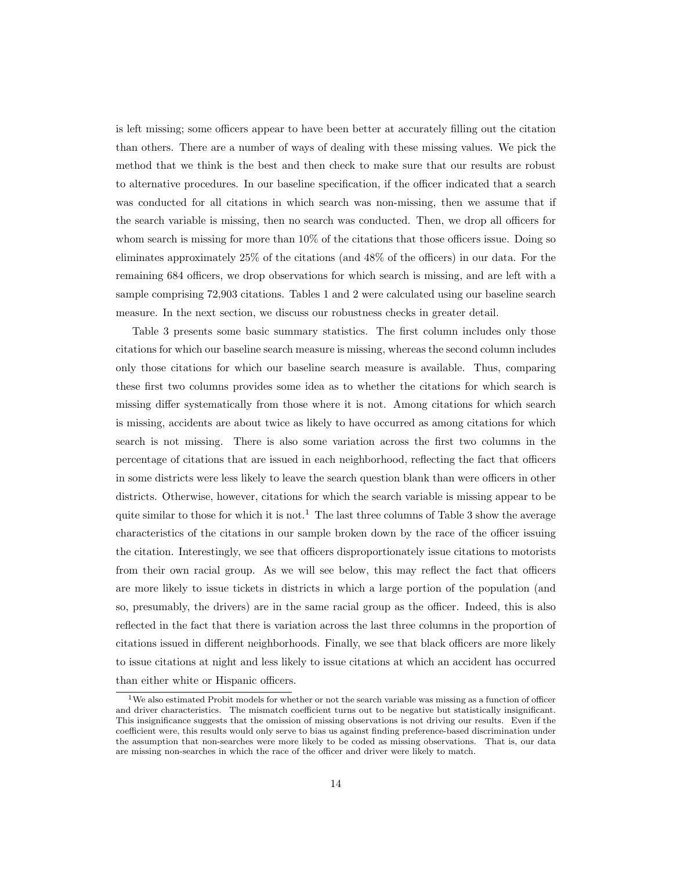is left missing; some officers appear to have been better at accurately filling out the citation than others. There are a number of ways of dealing with these missing values. We pick the method that we think is the best and then check to make sure that our results are robust to alternative procedures. In our baseline specification, if the officer indicated that a search was conducted for all citations in which search was non-missing, then we assume that if the search variable is missing, then no search was conducted. Then, we drop all officers for whom search is missing for more than 10% of the citations that those officers issue. Doing so eliminates approximately 25% of the citations (and 48% of the officers) in our data. For the remaining 684 officers, we drop observations for which search is missing, and are left with a sample comprising 72,903 citations. Tables 1 and 2 were calculated using our baseline search measure. In the next section, we discuss our robustness checks in greater detail.

Table 3 presents some basic summary statistics. The first column includes only those citations for which our baseline search measure is missing, whereas the second column includes only those citations for which our baseline search measure is available. Thus, comparing these first two columns provides some idea as to whether the citations for which search is missing differ systematically from those where it is not. Among citations for which search is missing, accidents are about twice as likely to have occurred as among citations for which search is not missing. There is also some variation across the first two columns in the percentage of citations that are issued in each neighborhood, reflecting the fact that officers in some districts were less likely to leave the search question blank than were officers in other districts. Otherwise, however, citations for which the search variable is missing appear to be quite similar to those for which it is not.<sup>1</sup> The last three columns of Table 3 show the average characteristics of the citations in our sample broken down by the race of the officer issuing the citation. Interestingly, we see that officers disproportionately issue citations to motorists from their own racial group. As we will see below, this may reflect the fact that officers are more likely to issue tickets in districts in which a large portion of the population (and so, presumably, the drivers) are in the same racial group as the officer. Indeed, this is also reflected in the fact that there is variation across the last three columns in the proportion of citations issued in different neighborhoods. Finally, we see that black officers are more likely to issue citations at night and less likely to issue citations at which an accident has occurred than either white or Hispanic officers.

<sup>&</sup>lt;sup>1</sup>We also estimated Probit models for whether or not the search variable was missing as a function of officer and driver characteristics. The mismatch coefficient turns out to be negative but statistically insignificant. This insignificance suggests that the omission of missing observations is not driving our results. Even if the coefficient were, this results would only serve to bias us against finding preference-based discrimination under the assumption that non-searches were more likely to be coded as missing observations. That is, our data are missing non-searches in which the race of the officer and driver were likely to match.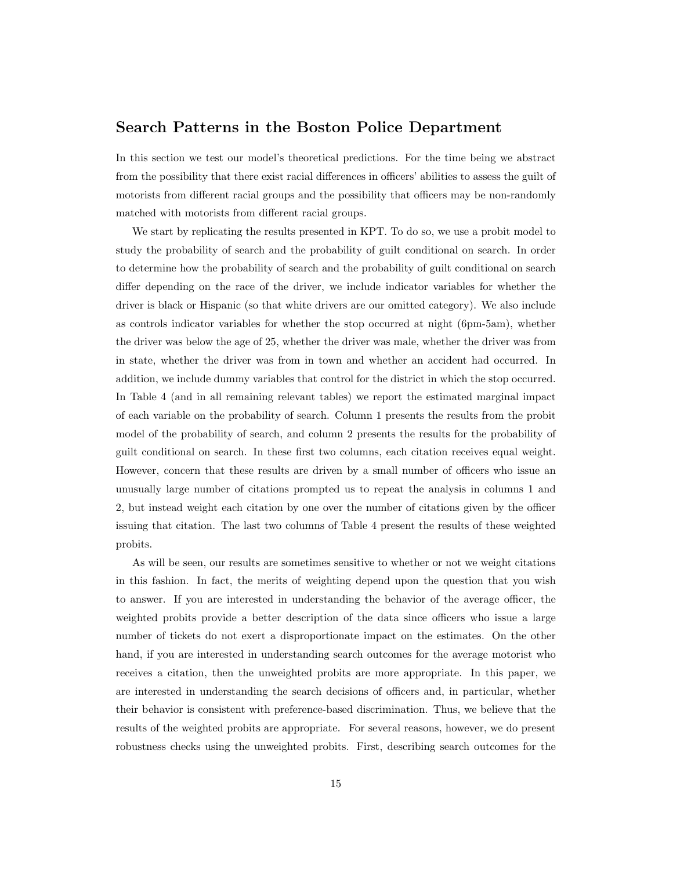## Search Patterns in the Boston Police Department

In this section we test our model's theoretical predictions. For the time being we abstract from the possibility that there exist racial differences in officers' abilities to assess the guilt of motorists from different racial groups and the possibility that officers may be non-randomly matched with motorists from different racial groups.

We start by replicating the results presented in KPT. To do so, we use a probit model to study the probability of search and the probability of guilt conditional on search. In order to determine how the probability of search and the probability of guilt conditional on search differ depending on the race of the driver, we include indicator variables for whether the driver is black or Hispanic (so that white drivers are our omitted category). We also include as controls indicator variables for whether the stop occurred at night (6pm-5am), whether the driver was below the age of 25, whether the driver was male, whether the driver was from in state, whether the driver was from in town and whether an accident had occurred. In addition, we include dummy variables that control for the district in which the stop occurred. In Table 4 (and in all remaining relevant tables) we report the estimated marginal impact of each variable on the probability of search. Column 1 presents the results from the probit model of the probability of search, and column 2 presents the results for the probability of guilt conditional on search. In these first two columns, each citation receives equal weight. However, concern that these results are driven by a small number of officers who issue an unusually large number of citations prompted us to repeat the analysis in columns 1 and 2, but instead weight each citation by one over the number of citations given by the officer issuing that citation. The last two columns of Table 4 present the results of these weighted probits.

As will be seen, our results are sometimes sensitive to whether or not we weight citations in this fashion. In fact, the merits of weighting depend upon the question that you wish to answer. If you are interested in understanding the behavior of the average officer, the weighted probits provide a better description of the data since officers who issue a large number of tickets do not exert a disproportionate impact on the estimates. On the other hand, if you are interested in understanding search outcomes for the average motorist who receives a citation, then the unweighted probits are more appropriate. In this paper, we are interested in understanding the search decisions of officers and, in particular, whether their behavior is consistent with preference-based discrimination. Thus, we believe that the results of the weighted probits are appropriate. For several reasons, however, we do present robustness checks using the unweighted probits. First, describing search outcomes for the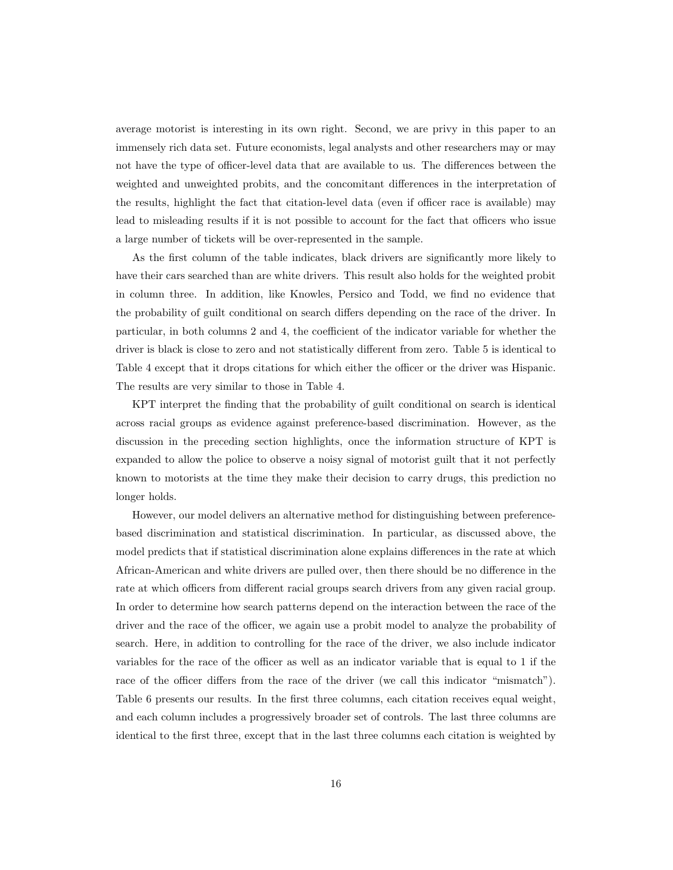average motorist is interesting in its own right. Second, we are privy in this paper to an immensely rich data set. Future economists, legal analysts and other researchers may or may not have the type of officer-level data that are available to us. The differences between the weighted and unweighted probits, and the concomitant differences in the interpretation of the results, highlight the fact that citation-level data (even if officer race is available) may lead to misleading results if it is not possible to account for the fact that officers who issue a large number of tickets will be over-represented in the sample.

As the first column of the table indicates, black drivers are significantly more likely to have their cars searched than are white drivers. This result also holds for the weighted probit in column three. In addition, like Knowles, Persico and Todd, we find no evidence that the probability of guilt conditional on search differs depending on the race of the driver. In particular, in both columns 2 and 4, the coefficient of the indicator variable for whether the driver is black is close to zero and not statistically different from zero. Table 5 is identical to Table 4 except that it drops citations for which either the officer or the driver was Hispanic. The results are very similar to those in Table 4.

KPT interpret the finding that the probability of guilt conditional on search is identical across racial groups as evidence against preference-based discrimination. However, as the discussion in the preceding section highlights, once the information structure of KPT is expanded to allow the police to observe a noisy signal of motorist guilt that it not perfectly known to motorists at the time they make their decision to carry drugs, this prediction no longer holds.

However, our model delivers an alternative method for distinguishing between preferencebased discrimination and statistical discrimination. In particular, as discussed above, the model predicts that if statistical discrimination alone explains differences in the rate at which African-American and white drivers are pulled over, then there should be no difference in the rate at which officers from different racial groups search drivers from any given racial group. In order to determine how search patterns depend on the interaction between the race of the driver and the race of the officer, we again use a probit model to analyze the probability of search. Here, in addition to controlling for the race of the driver, we also include indicator variables for the race of the officer as well as an indicator variable that is equal to 1 if the race of the officer differs from the race of the driver (we call this indicator "mismatch"). Table 6 presents our results. In the first three columns, each citation receives equal weight, and each column includes a progressively broader set of controls. The last three columns are identical to the first three, except that in the last three columns each citation is weighted by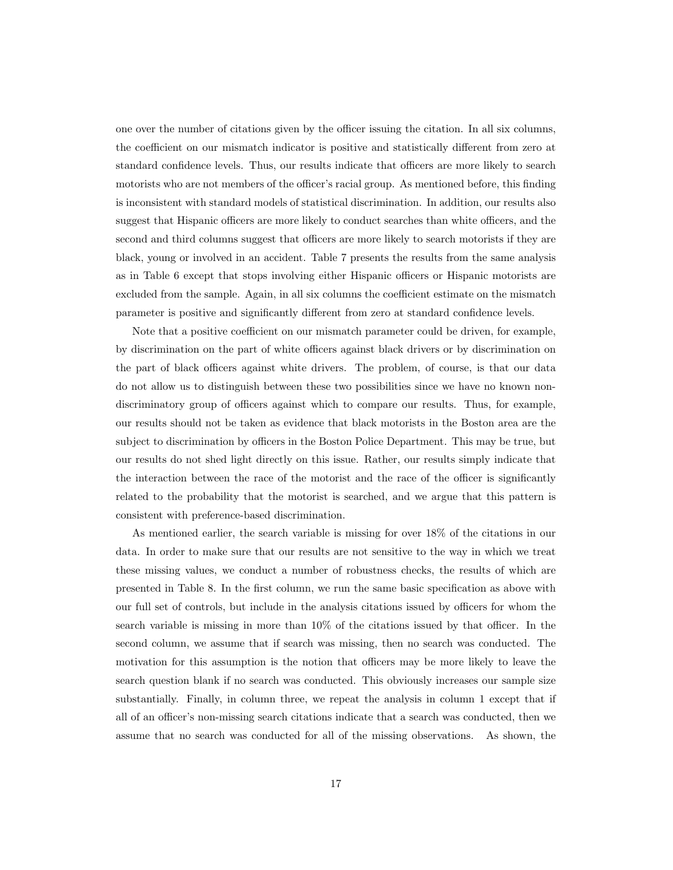one over the number of citations given by the officer issuing the citation. In all six columns, the coefficient on our mismatch indicator is positive and statistically different from zero at standard confidence levels. Thus, our results indicate that officers are more likely to search motorists who are not members of the officer's racial group. As mentioned before, this finding is inconsistent with standard models of statistical discrimination. In addition, our results also suggest that Hispanic officers are more likely to conduct searches than white officers, and the second and third columns suggest that officers are more likely to search motorists if they are black, young or involved in an accident. Table 7 presents the results from the same analysis as in Table 6 except that stops involving either Hispanic officers or Hispanic motorists are excluded from the sample. Again, in all six columns the coefficient estimate on the mismatch parameter is positive and significantly different from zero at standard confidence levels.

Note that a positive coefficient on our mismatch parameter could be driven, for example, by discrimination on the part of white officers against black drivers or by discrimination on the part of black officers against white drivers. The problem, of course, is that our data do not allow us to distinguish between these two possibilities since we have no known nondiscriminatory group of officers against which to compare our results. Thus, for example, our results should not be taken as evidence that black motorists in the Boston area are the subject to discrimination by officers in the Boston Police Department. This may be true, but our results do not shed light directly on this issue. Rather, our results simply indicate that the interaction between the race of the motorist and the race of the officer is significantly related to the probability that the motorist is searched, and we argue that this pattern is consistent with preference-based discrimination.

As mentioned earlier, the search variable is missing for over 18% of the citations in our data. In order to make sure that our results are not sensitive to the way in which we treat these missing values, we conduct a number of robustness checks, the results of which are presented in Table 8. In the first column, we run the same basic specification as above with our full set of controls, but include in the analysis citations issued by officers for whom the search variable is missing in more than 10% of the citations issued by that officer. In the second column, we assume that if search was missing, then no search was conducted. The motivation for this assumption is the notion that officers may be more likely to leave the search question blank if no search was conducted. This obviously increases our sample size substantially. Finally, in column three, we repeat the analysis in column 1 except that if all of an officer's non-missing search citations indicate that a search was conducted, then we assume that no search was conducted for all of the missing observations. As shown, the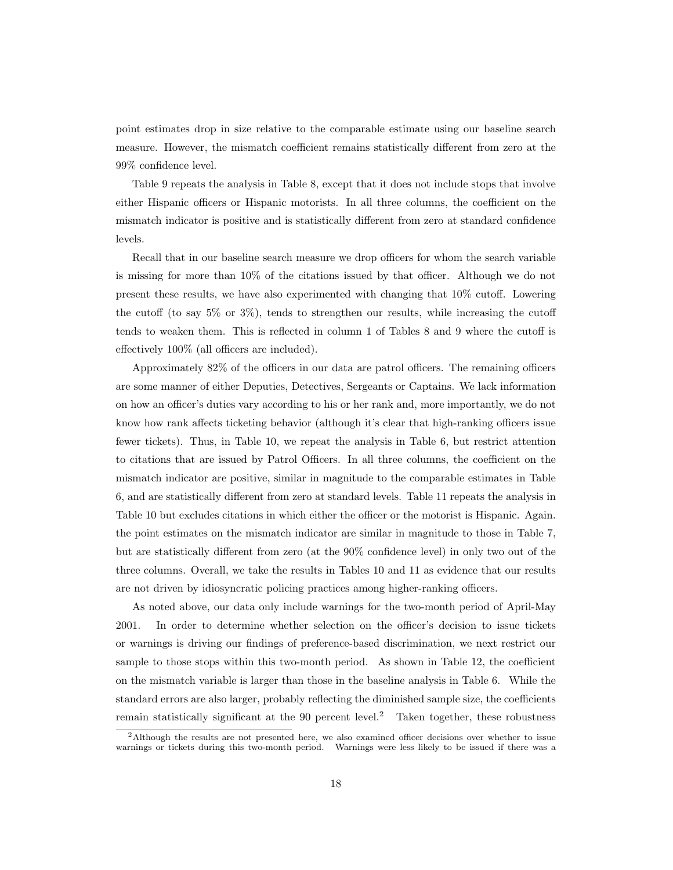point estimates drop in size relative to the comparable estimate using our baseline search measure. However, the mismatch coefficient remains statistically different from zero at the 99% confidence level.

Table 9 repeats the analysis in Table 8, except that it does not include stops that involve either Hispanic officers or Hispanic motorists. In all three columns, the coefficient on the mismatch indicator is positive and is statistically different from zero at standard confidence levels.

Recall that in our baseline search measure we drop officers for whom the search variable is missing for more than 10% of the citations issued by that officer. Although we do not present these results, we have also experimented with changing that 10% cutoff. Lowering the cutoff (to say 5% or 3%), tends to strengthen our results, while increasing the cutoff tends to weaken them. This is reflected in column 1 of Tables 8 and 9 where the cutoff is effectively 100% (all officers are included).

Approximately 82% of the officers in our data are patrol officers. The remaining officers are some manner of either Deputies, Detectives, Sergeants or Captains. We lack information on how an officer's duties vary according to his or her rank and, more importantly, we do not know how rank affects ticketing behavior (although it's clear that high-ranking officers issue fewer tickets). Thus, in Table 10, we repeat the analysis in Table 6, but restrict attention to citations that are issued by Patrol Officers. In all three columns, the coefficient on the mismatch indicator are positive, similar in magnitude to the comparable estimates in Table 6, and are statistically different from zero at standard levels. Table 11 repeats the analysis in Table 10 but excludes citations in which either the officer or the motorist is Hispanic. Again. the point estimates on the mismatch indicator are similar in magnitude to those in Table 7, but are statistically different from zero (at the 90% confidence level) in only two out of the three columns. Overall, we take the results in Tables 10 and 11 as evidence that our results are not driven by idiosyncratic policing practices among higher-ranking officers.

As noted above, our data only include warnings for the two-month period of April-May 2001. In order to determine whether selection on the officer's decision to issue tickets or warnings is driving our findings of preference-based discrimination, we next restrict our sample to those stops within this two-month period. As shown in Table 12, the coefficient on the mismatch variable is larger than those in the baseline analysis in Table 6. While the standard errors are also larger, probably reflecting the diminished sample size, the coefficients remain statistically significant at the 90 percent level.<sup>2</sup> Taken together, these robustness

 $2$ Although the results are not presented here, we also examined officer decisions over whether to issue warnings or tickets during this two-month period. Warnings were less likely to be issued if there was a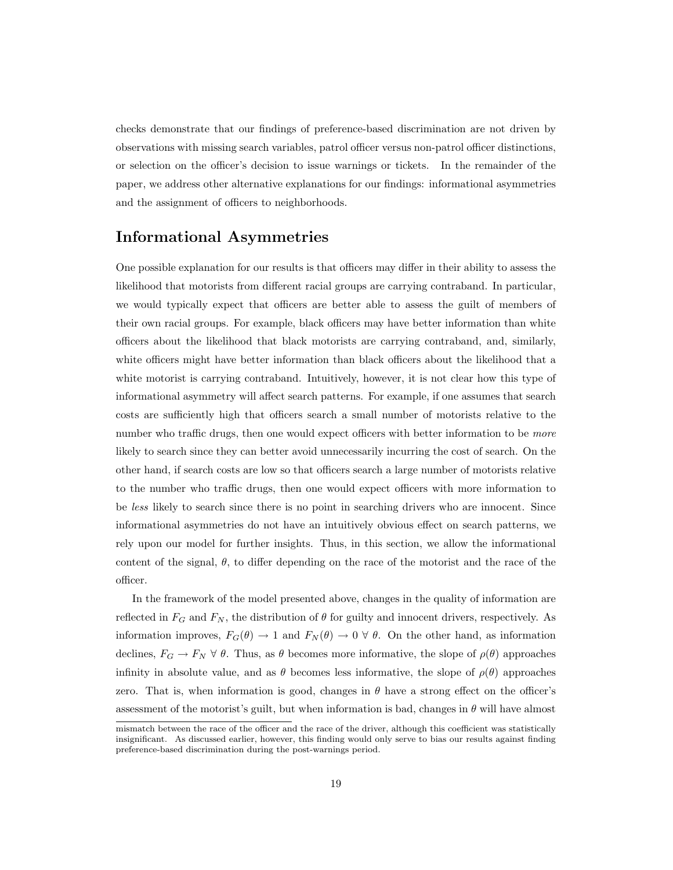checks demonstrate that our findings of preference-based discrimination are not driven by observations with missing search variables, patrol officer versus non-patrol officer distinctions, or selection on the officer's decision to issue warnings or tickets. In the remainder of the paper, we address other alternative explanations for our findings: informational asymmetries and the assignment of officers to neighborhoods.

## Informational Asymmetries

One possible explanation for our results is that officers may differ in their ability to assess the likelihood that motorists from different racial groups are carrying contraband. In particular, we would typically expect that officers are better able to assess the guilt of members of their own racial groups. For example, black officers may have better information than white officers about the likelihood that black motorists are carrying contraband, and, similarly, white officers might have better information than black officers about the likelihood that a white motorist is carrying contraband. Intuitively, however, it is not clear how this type of informational asymmetry will affect search patterns. For example, if one assumes that search costs are sufficiently high that officers search a small number of motorists relative to the number who traffic drugs, then one would expect officers with better information to be *more* likely to search since they can better avoid unnecessarily incurring the cost of search. On the other hand, if search costs are low so that officers search a large number of motorists relative to the number who traffic drugs, then one would expect officers with more information to be less likely to search since there is no point in searching drivers who are innocent. Since informational asymmetries do not have an intuitively obvious effect on search patterns, we rely upon our model for further insights. Thus, in this section, we allow the informational content of the signal,  $\theta$ , to differ depending on the race of the motorist and the race of the officer.

In the framework of the model presented above, changes in the quality of information are reflected in  $F_G$  and  $F_N$ , the distribution of  $\theta$  for guilty and innocent drivers, respectively. As information improves,  $F_G(\theta) \to 1$  and  $F_N(\theta) \to 0 \forall \theta$ . On the other hand, as information declines,  $F_G \to F_N \forall \theta$ . Thus, as  $\theta$  becomes more informative, the slope of  $\rho(\theta)$  approaches infinity in absolute value, and as  $\theta$  becomes less informative, the slope of  $\rho(\theta)$  approaches zero. That is, when information is good, changes in  $\theta$  have a strong effect on the officer's assessment of the motorist's guilt, but when information is bad, changes in  $\theta$  will have almost

mismatch between the race of the officer and the race of the driver, although this coefficient was statistically insignificant. As discussed earlier, however, this finding would only serve to bias our results against finding preference-based discrimination during the post-warnings period.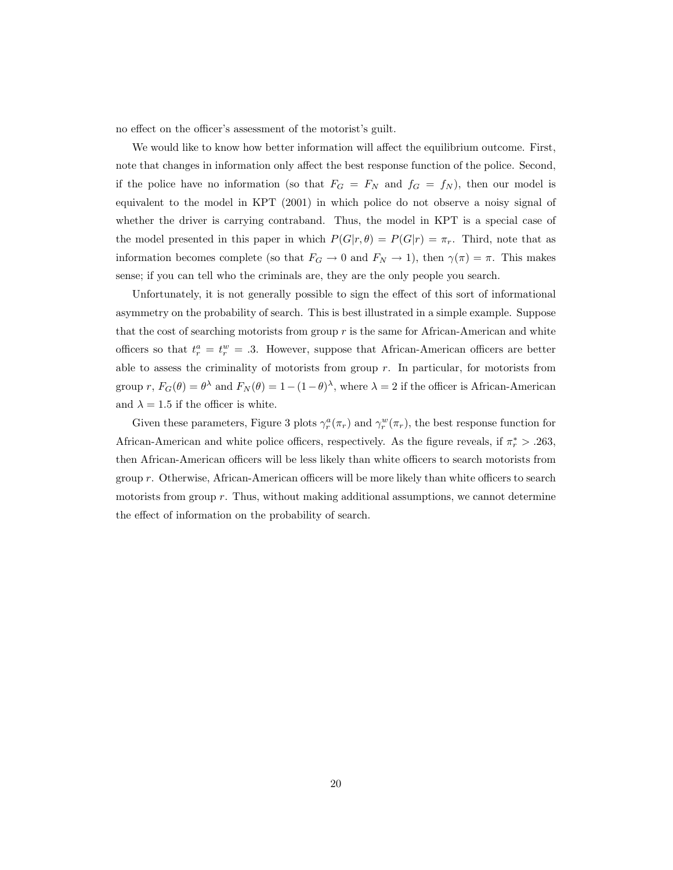no effect on the officer's assessment of the motorist's guilt.

We would like to know how better information will affect the equilibrium outcome. First, note that changes in information only affect the best response function of the police. Second, if the police have no information (so that  $F_G = F_N$  and  $f_G = f_N$ ), then our model is equivalent to the model in KPT (2001) in which police do not observe a noisy signal of whether the driver is carrying contraband. Thus, the model in KPT is a special case of the model presented in this paper in which  $P(G|r, \theta) = P(G|r) = \pi_r$ . Third, note that as information becomes complete (so that  $F_G \to 0$  and  $F_N \to 1$ ), then  $\gamma(\pi) = \pi$ . This makes sense; if you can tell who the criminals are, they are the only people you search.

Unfortunately, it is not generally possible to sign the effect of this sort of informational asymmetry on the probability of search. This is best illustrated in a simple example. Suppose that the cost of searching motorists from group  $r$  is the same for African-American and white officers so that  $t_r^a = t_r^w = .3$ . However, suppose that African-American officers are better able to assess the criminality of motorists from group  $r$ . In particular, for motorists from group r,  $F_G(\theta) = \theta^{\lambda}$  and  $F_N(\theta) = 1 - (1 - \theta)^{\lambda}$ , where  $\lambda = 2$  if the officer is African-American and  $\lambda = 1.5$  if the officer is white.

Given these parameters, Figure 3 plots  $\gamma_r^a(\pi_r)$  and  $\gamma_r^w(\pi_r)$ , the best response function for African-American and white police officers, respectively. As the figure reveals, if  $\pi_r^*$  > .263, then African-American officers will be less likely than white officers to search motorists from group  $r$ . Otherwise, African-American officers will be more likely than white officers to search motorists from group r. Thus, without making additional assumptions, we cannot determine the effect of information on the probability of search.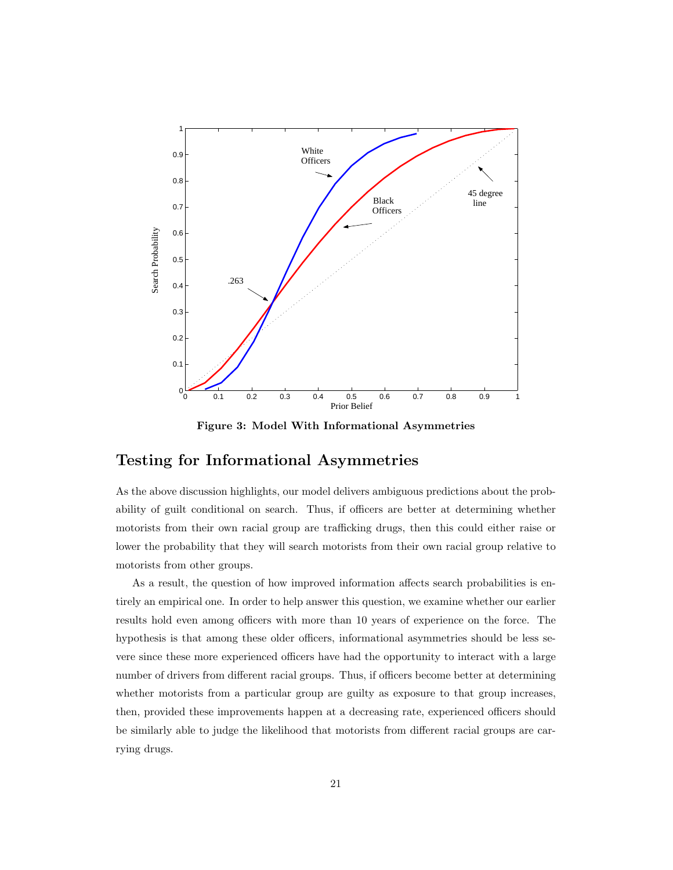

Figure 3: Model With Informational Asymmetries

# Testing for Informational Asymmetries

As the above discussion highlights, our model delivers ambiguous predictions about the probability of guilt conditional on search. Thus, if officers are better at determining whether motorists from their own racial group are trafficking drugs, then this could either raise or lower the probability that they will search motorists from their own racial group relative to motorists from other groups.

As a result, the question of how improved information affects search probabilities is entirely an empirical one. In order to help answer this question, we examine whether our earlier results hold even among officers with more than 10 years of experience on the force. The hypothesis is that among these older officers, informational asymmetries should be less severe since these more experienced officers have had the opportunity to interact with a large number of drivers from different racial groups. Thus, if officers become better at determining whether motorists from a particular group are guilty as exposure to that group increases, then, provided these improvements happen at a decreasing rate, experienced officers should be similarly able to judge the likelihood that motorists from different racial groups are carrying drugs.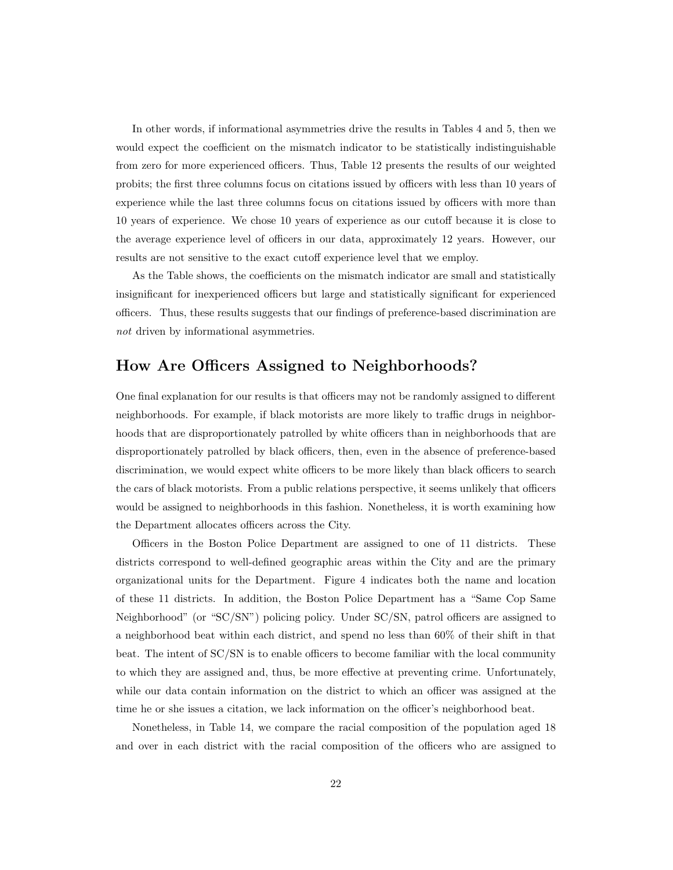In other words, if informational asymmetries drive the results in Tables 4 and 5, then we would expect the coefficient on the mismatch indicator to be statistically indistinguishable from zero for more experienced officers. Thus, Table 12 presents the results of our weighted probits; the first three columns focus on citations issued by officers with less than 10 years of experience while the last three columns focus on citations issued by officers with more than 10 years of experience. We chose 10 years of experience as our cutoff because it is close to the average experience level of officers in our data, approximately 12 years. However, our results are not sensitive to the exact cutoff experience level that we employ.

As the Table shows, the coefficients on the mismatch indicator are small and statistically insignificant for inexperienced officers but large and statistically significant for experienced officers. Thus, these results suggests that our findings of preference-based discrimination are not driven by informational asymmetries.

## How Are Officers Assigned to Neighborhoods?

One final explanation for our results is that officers may not be randomly assigned to different neighborhoods. For example, if black motorists are more likely to traffic drugs in neighborhoods that are disproportionately patrolled by white officers than in neighborhoods that are disproportionately patrolled by black officers, then, even in the absence of preference-based discrimination, we would expect white officers to be more likely than black officers to search the cars of black motorists. From a public relations perspective, it seems unlikely that officers would be assigned to neighborhoods in this fashion. Nonetheless, it is worth examining how the Department allocates officers across the City.

Officers in the Boston Police Department are assigned to one of 11 districts. These districts correspond to well-defined geographic areas within the City and are the primary organizational units for the Department. Figure 4 indicates both the name and location of these 11 districts. In addition, the Boston Police Department has a "Same Cop Same Neighborhood" (or "SC/SN") policing policy. Under SC/SN, patrol officers are assigned to a neighborhood beat within each district, and spend no less than 60% of their shift in that beat. The intent of SC/SN is to enable officers to become familiar with the local community to which they are assigned and, thus, be more effective at preventing crime. Unfortunately, while our data contain information on the district to which an officer was assigned at the time he or she issues a citation, we lack information on the officer's neighborhood beat.

Nonetheless, in Table 14, we compare the racial composition of the population aged 18 and over in each district with the racial composition of the officers who are assigned to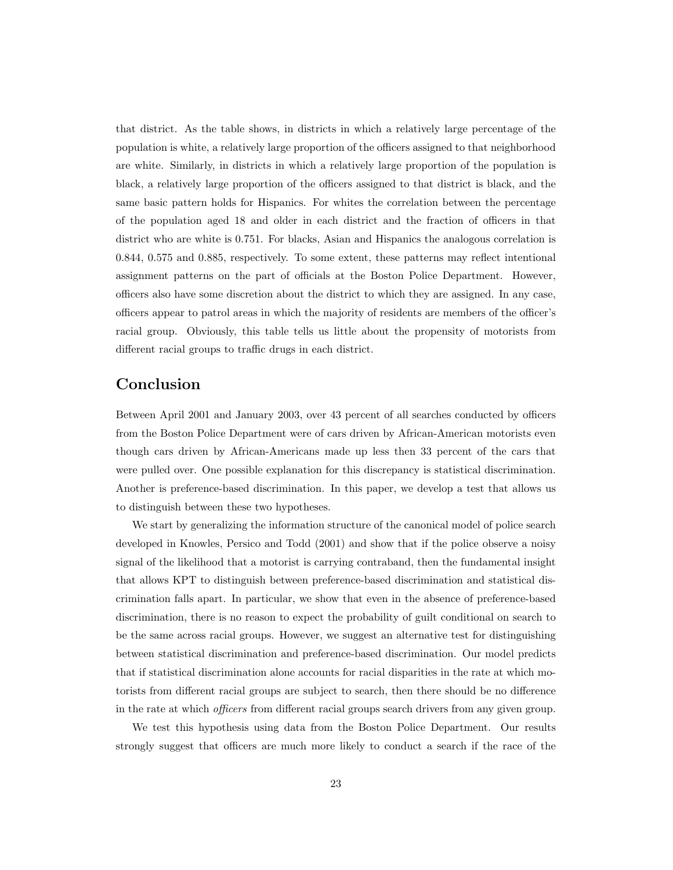that district. As the table shows, in districts in which a relatively large percentage of the population is white, a relatively large proportion of the officers assigned to that neighborhood are white. Similarly, in districts in which a relatively large proportion of the population is black, a relatively large proportion of the officers assigned to that district is black, and the same basic pattern holds for Hispanics. For whites the correlation between the percentage of the population aged 18 and older in each district and the fraction of officers in that district who are white is 0.751. For blacks, Asian and Hispanics the analogous correlation is 0.844, 0.575 and 0.885, respectively. To some extent, these patterns may reflect intentional assignment patterns on the part of officials at the Boston Police Department. However, officers also have some discretion about the district to which they are assigned. In any case, officers appear to patrol areas in which the majority of residents are members of the officer's racial group. Obviously, this table tells us little about the propensity of motorists from different racial groups to traffic drugs in each district.

# Conclusion

Between April 2001 and January 2003, over 43 percent of all searches conducted by officers from the Boston Police Department were of cars driven by African-American motorists even though cars driven by African-Americans made up less then 33 percent of the cars that were pulled over. One possible explanation for this discrepancy is statistical discrimination. Another is preference-based discrimination. In this paper, we develop a test that allows us to distinguish between these two hypotheses.

We start by generalizing the information structure of the canonical model of police search developed in Knowles, Persico and Todd (2001) and show that if the police observe a noisy signal of the likelihood that a motorist is carrying contraband, then the fundamental insight that allows KPT to distinguish between preference-based discrimination and statistical discrimination falls apart. In particular, we show that even in the absence of preference-based discrimination, there is no reason to expect the probability of guilt conditional on search to be the same across racial groups. However, we suggest an alternative test for distinguishing between statistical discrimination and preference-based discrimination. Our model predicts that if statistical discrimination alone accounts for racial disparities in the rate at which motorists from different racial groups are subject to search, then there should be no difference in the rate at which officers from different racial groups search drivers from any given group.

We test this hypothesis using data from the Boston Police Department. Our results strongly suggest that officers are much more likely to conduct a search if the race of the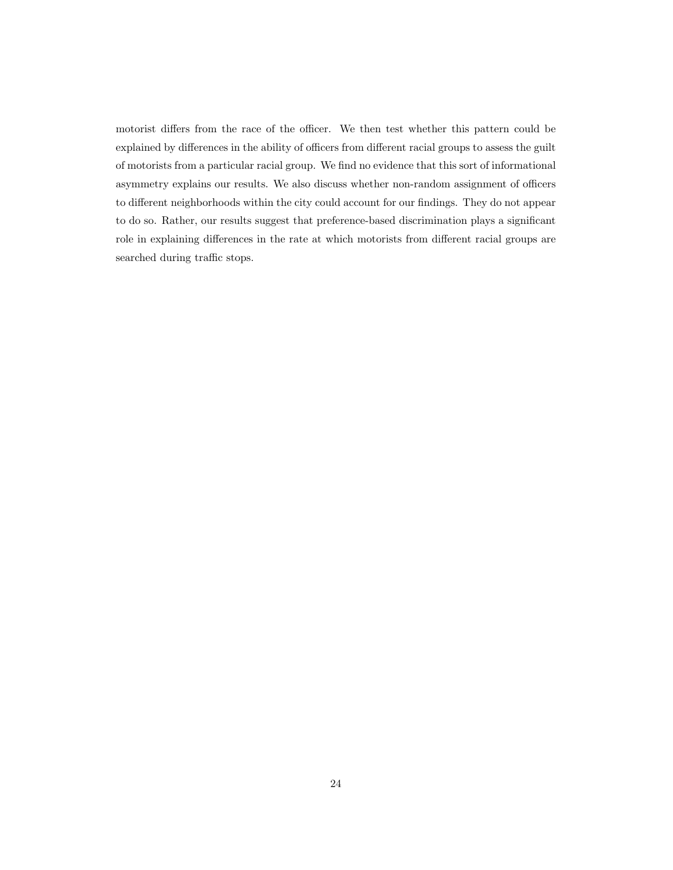motorist differs from the race of the officer. We then test whether this pattern could be explained by differences in the ability of officers from different racial groups to assess the guilt of motorists from a particular racial group. We find no evidence that this sort of informational asymmetry explains our results. We also discuss whether non-random assignment of officers to different neighborhoods within the city could account for our findings. They do not appear to do so. Rather, our results suggest that preference-based discrimination plays a significant role in explaining differences in the rate at which motorists from different racial groups are searched during traffic stops.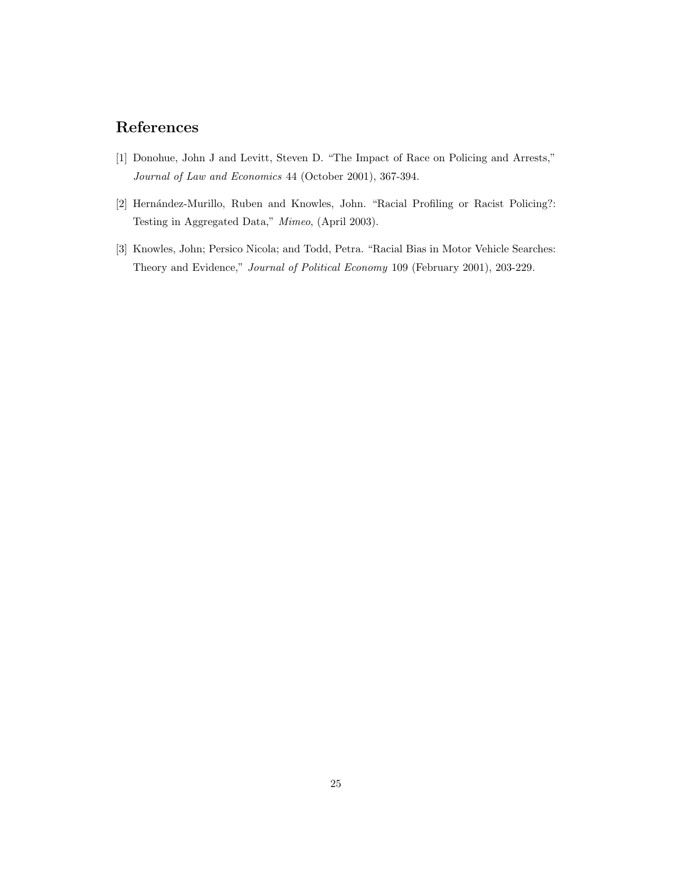# References

- [1] Donohue, John J and Levitt, Steven D. "The Impact of Race on Policing and Arrests," Journal of Law and Economics 44 (October 2001), 367-394.
- [2] Hernández-Murillo, Ruben and Knowles, John. "Racial Profiling or Racist Policing?: Testing in Aggregated Data," Mimeo, (April 2003).
- [3] Knowles, John; Persico Nicola; and Todd, Petra. "Racial Bias in Motor Vehicle Searches: Theory and Evidence," Journal of Political Economy 109 (February 2001), 203-229.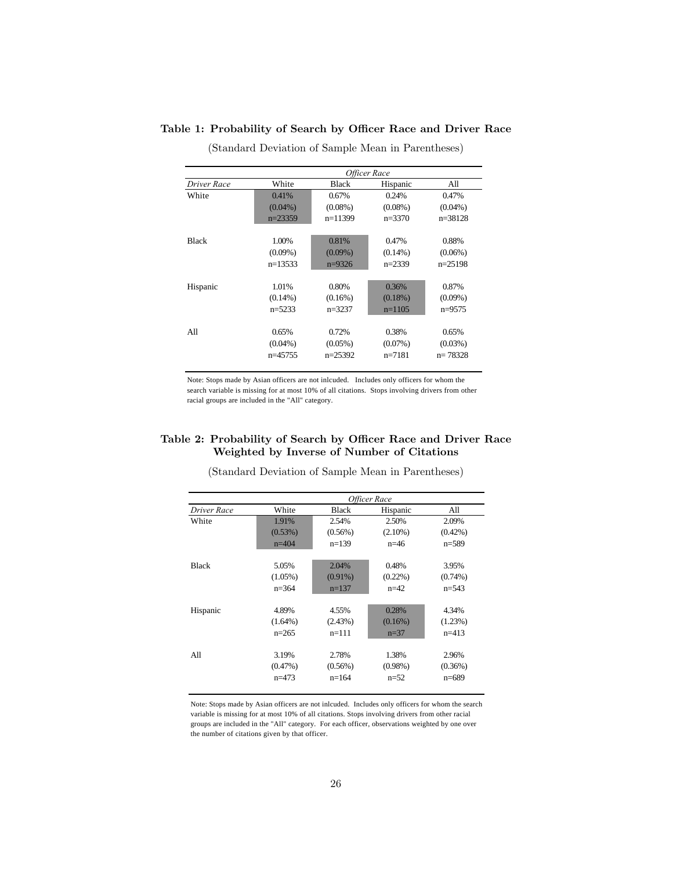|              |            | Officer Race |            |             |  |  |  |
|--------------|------------|--------------|------------|-------------|--|--|--|
| Driver Race  | White      | <b>Black</b> | Hispanic   | All         |  |  |  |
| White        | 0.41%      | 0.67%        | 0.24%      | 0.47%       |  |  |  |
|              | $(0.04\%)$ | $(0.08\%)$   | $(0.08\%)$ | $(0.04\%)$  |  |  |  |
|              | $n=23359$  | $n=11399$    | $n=3370$   | $n = 38128$ |  |  |  |
| <b>Black</b> | 1.00%      | 0.81%        | 0.47%      | 0.88%       |  |  |  |
|              | $(0.09\%)$ | $(0.09\%)$   | $(0.14\%)$ | $(0.06\%)$  |  |  |  |
|              | $n=13533$  | $n=9326$     | $n=2339$   | $n=25198$   |  |  |  |
| Hispanic     | 1.01%      | 0.80%        | 0.36%      | 0.87%       |  |  |  |
|              | $(0.14\%)$ | $(0.16\%)$   | $(0.18\%)$ | $(0.09\%)$  |  |  |  |
|              | $n=5233$   | $n=3237$     | $n=1105$   | $n=9575$    |  |  |  |
| All          | 0.65%      | 0.72%        | 0.38%      | 0.65%       |  |  |  |
|              | $(0.04\%)$ | $(0.05\%)$   | $(0.07\%)$ | $(0.03\%)$  |  |  |  |
|              | $n=45755$  | $n=25392$    | $n=7181$   | $n = 78328$ |  |  |  |

Table 1: Probability of Search by Officer Race and Driver Race

(Standard Deviation of Sample Mean in Parentheses)

Note: Stops made by Asian officers are not inlcuded. Includes only officers for whom the search variable is missing for at most 10% of all citations. Stops involving drivers from other racial groups are included in the "All" category.

## Table 2: Probability of Search by Officer Race and Driver Race Weighted by Inverse of Number of Citations

|              |            |            | Officer Race |            |
|--------------|------------|------------|--------------|------------|
| Driver Race  | White      | Black      | Hispanic     | All        |
| White        | 1.91%      | 2.54%      | 2.50%        | 2.09%      |
|              | (0.53%)    | $(0.56\%)$ | $(2.10\%)$   | $(0.42\%)$ |
|              | $n=404$    | $n=139$    | $n=46$       | $n=589$    |
|              |            |            |              |            |
| <b>Black</b> | 5.05%      | 2.04%      | 0.48%        | 3.95%      |
|              | $(1.05\%)$ | $(0.91\%)$ | $(0.22\%)$   | $(0.74\%)$ |
|              | $n=364$    | $n=137$    | $n=42$       | $n=543$    |
| Hispanic     | 4.89%      | 4.55%      | 0.28%        | 4.34%      |
|              | $(1.64\%)$ | (2.43%)    | $(0.16\%)$   | (1.23%)    |
|              | $n=265$    | $n=111$    | $n=37$       | $n=413$    |
|              |            |            |              |            |
| All          | 3.19%      | 2.78%      | 1.38%        | 2.96%      |
|              | $(0.47\%)$ | $(0.56\%)$ | $(0.98\%)$   | (0.36%)    |
|              | $n=473$    | $n=164$    | $n=52$       | $n=689$    |

(Standard Deviation of Sample Mean in Parentheses)

Note: Stops made by Asian officers are not inlcuded. Includes only officers for whom the search variable is missing for at most 10% of all citations. Stops involving drivers from other racial groups are included in the "All" category. For each officer, observations weighted by one over the number of citations given by that officer.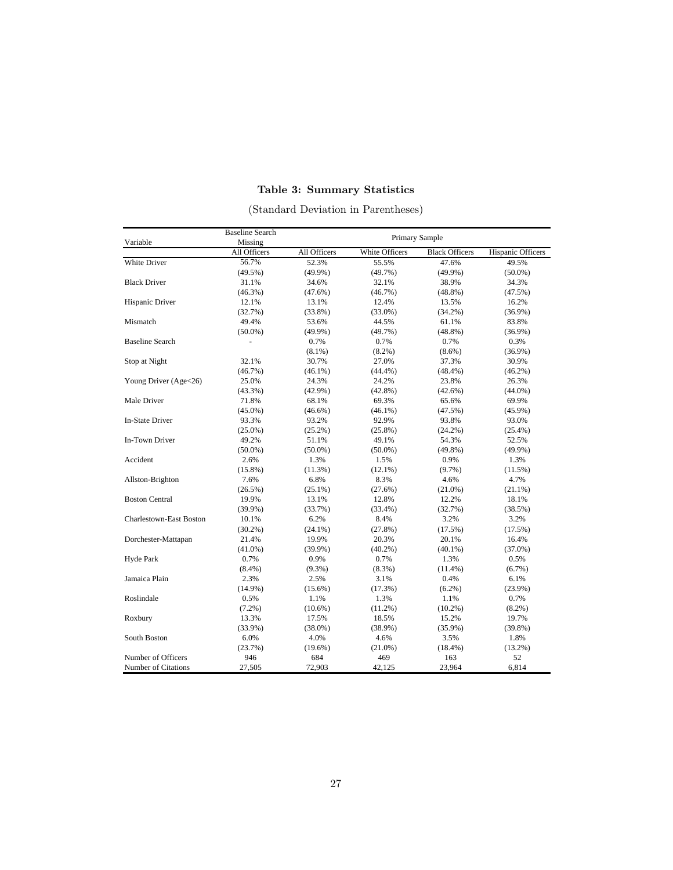## Table 3: Summary Statistics

|                                | <b>Baseline Search</b>  |              |                | Primary Sample        |                   |
|--------------------------------|-------------------------|--------------|----------------|-----------------------|-------------------|
| Variable                       | Missing<br>All Officers | All Officers | White Officers | <b>Black Officers</b> | Hispanic Officers |
| White Driver                   | 56.7%                   | 52.3%        | 55.5%          | 47.6%                 | 49.5%             |
|                                | $(49.5\%)$              | $(49.9\%)$   | (49.7%)        | $(49.9\%)$            | $(50.0\%)$        |
| <b>Black Driver</b>            | 31.1%                   | 34.6%        | 32.1%          | 38.9%                 | 34.3%             |
|                                | $(46.3\%)$              | $(47.6\%)$   | $(46.7\%)$     | $(48.8\%)$            | (47.5%)           |
| Hispanic Driver                | 12.1%                   | 13.1%        | 12.4%          | 13.5%                 | 16.2%             |
|                                | (32.7%)                 | $(33.8\%)$   | $(33.0\%)$     | $(34.2\%)$            | $(36.9\%)$        |
| Mismatch                       | 49.4%                   | 53.6%        | 44.5%          | 61.1%                 | 83.8%             |
|                                | $(50.0\%)$              | $(49.9\%)$   | $(49.7\%)$     | $(48.8\%)$            | $(36.9\%)$        |
| <b>Baseline Search</b>         |                         | 0.7%         | 0.7%           | 0.7%                  | 0.3%              |
|                                |                         | $(8.1\%)$    | $(8.2\%)$      | $(8.6\%)$             | $(36.9\%)$        |
| Stop at Night                  | 32.1%                   | 30.7%        | 27.0%          | 37.3%                 | 30.9%             |
|                                | (46.7%)                 | $(46.1\%)$   | $(44.4\%)$     | $(48.4\%)$            | $(46.2\%)$        |
| Young Driver (Age<26)          | 25.0%                   | 24.3%        | 24.2%          | 23.8%                 | 26.3%             |
|                                | $(43.3\%)$              | $(42.9\%)$   | $(42.8\%)$     | $(42.6\%)$            | $(44.0\%)$        |
| Male Driver                    | 71.8%                   | 68.1%        | 69.3%          | 65.6%                 | 69.9%             |
|                                | $(45.0\%)$              | $(46.6\%)$   | $(46.1\%)$     | (47.5%)               | $(45.9\%)$        |
| <b>In-State Driver</b>         | 93.3%                   | 93.2%        | 92.9%          | 93.8%                 | 93.0%             |
|                                | $(25.0\%)$              | $(25.2\%)$   | $(25.8\%)$     | $(24.2\%)$            | $(25.4\%)$        |
| In-Town Driver                 | 49.2%                   | 51.1%        | 49.1%          | 54.3%                 | 52.5%             |
|                                | $(50.0\%)$              | $(50.0\%)$   | $(50.0\%)$     | $(49.8\%)$            | (49.9%)           |
| Accident                       | 2.6%                    | 1.3%         | 1.5%           | 0.9%                  | 1.3%              |
|                                | $(15.8\%)$              | $(11.3\%)$   | $(12.1\%)$     | $(9.7\%)$             | $(11.5\%)$        |
| Allston-Brighton               | 7.6%                    | 6.8%         | 8.3%           | 4.6%                  | 4.7%              |
|                                | (26.5%)                 | $(25.1\%)$   | (27.6%)        | $(21.0\%)$            | $(21.1\%)$        |
| <b>Boston Central</b>          | 19.9%                   | 13.1%        | 12.8%          | 12.2%                 | 18.1%             |
|                                | $(39.9\%)$              | (33.7%)      | $(33.4\%)$     | (32.7%)               | (38.5%)           |
| <b>Charlestown-East Boston</b> | 10.1%                   | 6.2%         | 8.4%           | 3.2%                  | 3.2%              |
|                                | $(30.2\%)$              | $(24.1\%)$   | $(27.8\%)$     | (17.5%)               | (17.5%)           |
| Dorchester-Mattapan            | 21.4%                   | 19.9%        | 20.3%          | 20.1%                 | 16.4%             |
|                                | $(41.0\%)$              | $(39.9\%)$   | $(40.2\%)$     | $(40.1\%)$            | $(37.0\%)$        |
| Hyde Park                      | 0.7%                    | 0.9%         | 0.7%           | 1.3%                  | 0.5%              |
|                                | $(8.4\%)$               | $(9.3\%)$    | $(8.3\%)$      | $(11.4\%)$            | $(6.7\%)$         |
| Jamaica Plain                  | 2.3%                    | 2.5%         | 3.1%           | 0.4%                  | 6.1%              |
|                                | $(14.9\%)$              | $(15.6\%)$   | (17.3%)        | $(6.2\%)$             | $(23.9\%)$        |
| Roslindale                     | 0.5%                    | 1.1%         | 1.3%           | 1.1%                  | 0.7%              |
|                                | $(7.2\%)$               | $(10.6\%)$   | $(11.2\%)$     | $(10.2\%)$            | $(8.2\%)$         |
| Roxbury                        | 13.3%                   | 17.5%        | 18.5%          | 15.2%                 | 19.7%             |
|                                | $(33.9\%)$              | $(38.0\%)$   | $(38.9\%)$     | $(35.9\%)$            | $(39.8\%)$        |
| South Boston                   | 6.0%                    | 4.0%         | 4.6%           | 3.5%                  | 1.8%              |
|                                | (23.7%)                 | $(19.6\%)$   | $(21.0\%)$     | $(18.4\%)$            | $(13.2\%)$        |
| Number of Officers             | 946                     | 684          | 469            | 163                   | 52                |
| Number of Citations            | 27,505                  | 72,903       | 42,125         | 23,964                | 6,814             |

(Standard Deviation in Parentheses)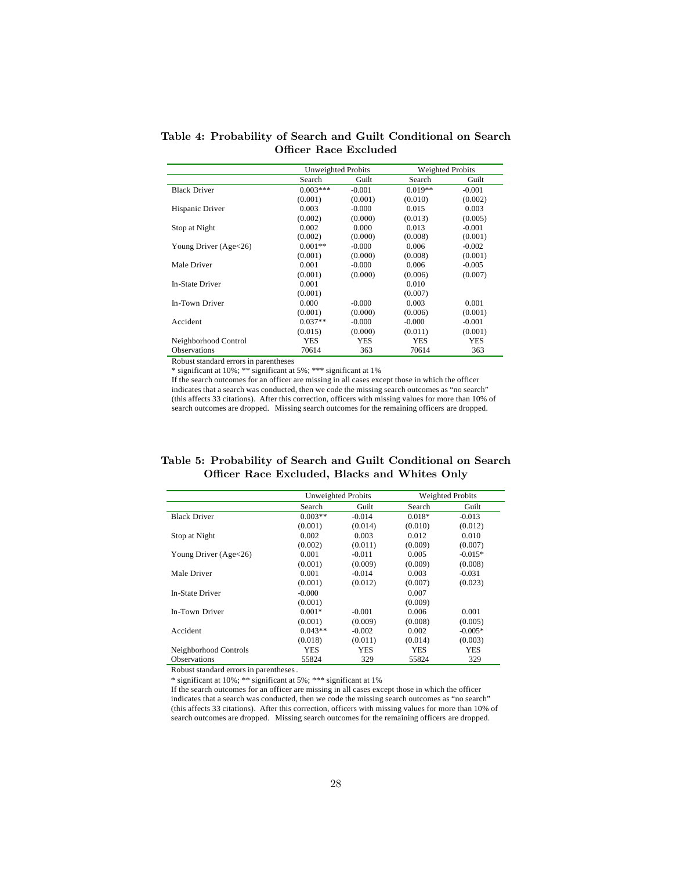Table 4: Probability of Search and Guilt Conditional on Search Officer Race Excluded

|                         | <b>Unweighted Probits</b> |          | <b>Weighted Probits</b> |          |
|-------------------------|---------------------------|----------|-------------------------|----------|
|                         | Search                    | Guilt    | Search                  | Guilt    |
| <b>Black Driver</b>     | $0.003***$                | $-0.001$ | $0.019**$               | $-0.001$ |
|                         | (0.001)                   | (0.001)  | (0.010)                 | (0.002)  |
| Hispanic Driver         | 0.003                     | $-0.000$ | 0.015                   | 0.003    |
|                         | (0.002)                   | (0.000)  | (0.013)                 | (0.005)  |
| Stop at Night           | 0.002                     | 0.000    | 0.013                   | $-0.001$ |
|                         | (0.002)                   | (0.000)  | (0.008)                 | (0.001)  |
| Young Driver $(Age<26)$ | $0.001**$                 | $-0.000$ | 0.006                   | $-0.002$ |
|                         | (0.001)                   | (0.000)  | (0.008)                 | (0.001)  |
| Male Driver             | 0.001                     | $-0.000$ | 0.006                   | $-0.005$ |
|                         | (0.001)                   | (0.000)  | (0.006)                 | (0.007)  |
| <b>In-State Driver</b>  | 0.001                     |          | 0.010                   |          |
|                         | (0.001)                   |          | (0.007)                 |          |
| In-Town Driver          | 0.000                     | $-0.000$ | 0.003                   | 0.001    |
|                         | (0.001)                   | (0.000)  | (0.006)                 | (0.001)  |
| Accident                | $0.037**$                 | $-0.000$ | $-0.000$                | $-0.001$ |
|                         | (0.015)                   | (0.000)  | (0.011)                 | (0.001)  |
| Neighborhood Control    | YES                       | YES      | YES                     | YES      |
| <b>Observations</b>     | 70614                     | 363      | 70614                   | 363      |

\* significant at 10%; \*\* significant at 5%; \*\*\* significant at 1%

If the search outcomes for an officer are missing in all cases except those in which the officer indicates that a search was conducted, then we code the missing search outcomes as "no search" (this affects 33 citations). After this correction, officers with missing values for more than 10% of search outcomes are dropped. Missing search outcomes for the remaining officers are dropped.

| Table 5: Probability of Search and Guilt Conditional on Search |  |  |  |
|----------------------------------------------------------------|--|--|--|
| Officer Race Excluded, Blacks and Whites Only                  |  |  |  |

|                         | Unweighted Probits |          |          | <b>Weighted Probits</b> |
|-------------------------|--------------------|----------|----------|-------------------------|
|                         | Search             | Guilt    | Search   | Guilt                   |
| <b>Black Driver</b>     | $0.003**$          | $-0.014$ | $0.018*$ | $-0.013$                |
|                         | (0.001)            | (0.014)  | (0.010)  | (0.012)                 |
| Stop at Night           | 0.002              | 0.003    | 0.012    | 0.010                   |
|                         | (0.002)            | (0.011)  | (0.009)  | (0.007)                 |
| Young Driver $(Age<26)$ | 0.001              | $-0.011$ | 0.005    | $-0.015*$               |
|                         | (0.001)            | (0.009)  | (0.009)  | (0.008)                 |
| Male Driver             | 0.001              | $-0.014$ | 0.003    | $-0.031$                |
|                         | (0.001)            | (0.012)  | (0.007)  | (0.023)                 |
| In-State Driver         | $-0.000$           |          | 0.007    |                         |
|                         | (0.001)            |          | (0.009)  |                         |
| In-Town Driver          | $0.001*$           | $-0.001$ | 0.006    | 0.001                   |
|                         | (0.001)            | (0.009)  | (0.008)  | (0.005)                 |
| Accident                | $0.043**$          | $-0.002$ | 0.002    | $-0.005*$               |
|                         | (0.018)            | (0.011)  | (0.014)  | (0.003)                 |
| Neighborhood Controls   | <b>YES</b>         | YES      | YES      | YES                     |
| <b>Observations</b>     | 55824              | 329      | 55824    | 329                     |

Robust standard errors in parentheses.

\* significant at 10%; \*\* significant at 5%; \*\*\* significant at 1%

If the search outcomes for an officer are missing in all cases except those in which the officer indicates that a search was conducted, then we code the missing search outcomes as "no search" (this affects 33 citations). After this correction, officers with missing values for more than 10% of search outcomes are dropped. Missing search outcomes for the remaining officers are dropped.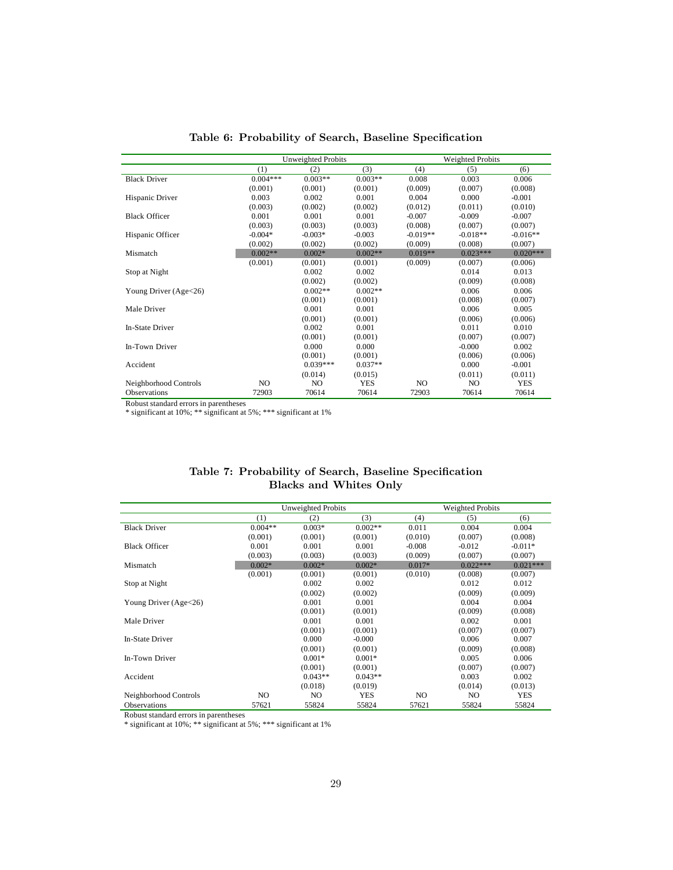|                       | <b>Unweighted Probits</b> |            |            | <b>Weighted Probits</b> |                |            |
|-----------------------|---------------------------|------------|------------|-------------------------|----------------|------------|
|                       | (1)                       | (2)        | (3)        | (4)                     | (5)            | (6)        |
| <b>Black Driver</b>   | $0.004***$                | $0.003**$  | $0.003**$  | 0.008                   | 0.003          | 0.006      |
|                       | (0.001)                   | (0.001)    | (0.001)    | (0.009)                 | (0.007)        | (0.008)    |
| Hispanic Driver       | 0.003                     | 0.002      | 0.001      | 0.004                   | 0.000          | $-0.001$   |
|                       | (0.003)                   | (0.002)    | (0.002)    | (0.012)                 | (0.011)        | (0.010)    |
| <b>Black Officer</b>  | 0.001                     | 0.001      | 0.001      | $-0.007$                | $-0.009$       | $-0.007$   |
|                       | (0.003)                   | (0.003)    | (0.003)    | (0.008)                 | (0.007)        | (0.007)    |
| Hispanic Officer      | $-0.004*$                 | $-0.003*$  | $-0.003$   | $-0.019**$              | $-0.018**$     | $-0.016**$ |
|                       | (0.002)                   | (0.002)    | (0.002)    | (0.009)                 | (0.008)        | (0.007)    |
| Mismatch              | $0.002**$                 | $0.002*$   | $0.002**$  | $0.019**$               | $0.023***$     | $0.020***$ |
|                       | (0.001)                   | (0.001)    | (0.001)    | (0.009)                 | (0.007)        | (0.006)    |
| Stop at Night         |                           | 0.002      | 0.002      |                         | 0.014          | 0.013      |
|                       |                           | (0.002)    | (0.002)    |                         | (0.009)        | (0.008)    |
| Young Driver (Age<26) |                           | $0.002**$  | $0.002**$  |                         | 0.006          | 0.006      |
|                       |                           | (0.001)    | (0.001)    |                         | (0.008)        | (0.007)    |
| Male Driver           |                           | 0.001      | 0.001      |                         | 0.006          | 0.005      |
|                       |                           | (0.001)    | (0.001)    |                         | (0.006)        | (0.006)    |
| In-State Driver       |                           | 0.002      | 0.001      |                         | 0.011          | 0.010      |
|                       |                           | (0.001)    | (0.001)    |                         | (0.007)        | (0.007)    |
| In-Town Driver        |                           | 0.000      | 0.000      |                         | $-0.000$       | 0.002      |
|                       |                           | (0.001)    | (0.001)    |                         | (0.006)        | (0.006)    |
| Accident              |                           | $0.039***$ | $0.037**$  |                         | 0.000          | $-0.001$   |
|                       |                           | (0.014)    | (0.015)    |                         | (0.011)        | (0.011)    |
| Neighborhood Controls | NO.                       | NO.        | <b>YES</b> | NO.                     | N <sub>O</sub> | <b>YES</b> |
| <b>Observations</b>   | 72903                     | 70614      | 70614      | 72903                   | 70614          | 70614      |

Table 6: Probability of Search, Baseline Specification

\* significant at 10%; \*\* significant at 5%; \*\*\* significant at 1%

|                       |           | Unweighted Probits |            |          | <b>Weighted Probits</b> |            |
|-----------------------|-----------|--------------------|------------|----------|-------------------------|------------|
|                       | (1)       | (2)                | (3)        | (4)      | (5)                     | (6)        |
| <b>Black Driver</b>   | $0.004**$ | $0.003*$           | $0.002**$  | 0.011    | 0.004                   | 0.004      |
|                       | (0.001)   | (0.001)            | (0.001)    | (0.010)  | (0.007)                 | (0.008)    |
| <b>Black Officer</b>  | 0.001     | 0.001              | 0.001      | $-0.008$ | $-0.012$                | $-0.011*$  |
|                       | (0.003)   | (0.003)            | (0.003)    | (0.009)  | (0.007)                 | (0.007)    |
| Mismatch              | $0.002*$  | $0.002*$           | $0.002*$   | $0.017*$ | $0.022***$              | $0.021***$ |
|                       | (0.001)   | (0.001)            | (0.001)    | (0.010)  | (0.008)                 | (0.007)    |
| Stop at Night         |           | 0.002              | 0.002      |          | 0.012                   | 0.012      |
|                       |           | (0.002)            | (0.002)    |          | (0.009)                 | (0.009)    |
| Young Driver (Age<26) |           | 0.001              | 0.001      |          | 0.004                   | 0.004      |
|                       |           | (0.001)            | (0.001)    |          | (0.009)                 | (0.008)    |
| Male Driver           |           | 0.001              | 0.001      |          | 0.002                   | 0.001      |
|                       |           | (0.001)            | (0.001)    |          | (0.007)                 | (0.007)    |
| In-State Driver       |           | 0.000              | $-0.000$   |          | 0.006                   | 0.007      |
|                       |           | (0.001)            | (0.001)    |          | (0.009)                 | (0.008)    |
| In-Town Driver        |           | $0.001*$           | $0.001*$   |          | 0.005                   | 0.006      |
|                       |           | (0.001)            | (0.001)    |          | (0.007)                 | (0.007)    |
| Accident              |           | $0.043**$          | $0.043**$  |          | 0.003                   | 0.002      |
|                       |           | (0.018)            | (0.019)    |          | (0.014)                 | (0.013)    |
| Neighborhood Controls | NO.       | NO.                | <b>YES</b> | NO.      | NO.                     | <b>YES</b> |
| <b>Observations</b>   | 57621     | 55824              | 55824      | 57621    | 55824                   | 55824      |

## Table 7: Probability of Search, Baseline Specification Blacks and Whites Only

Robust standard errors in parentheses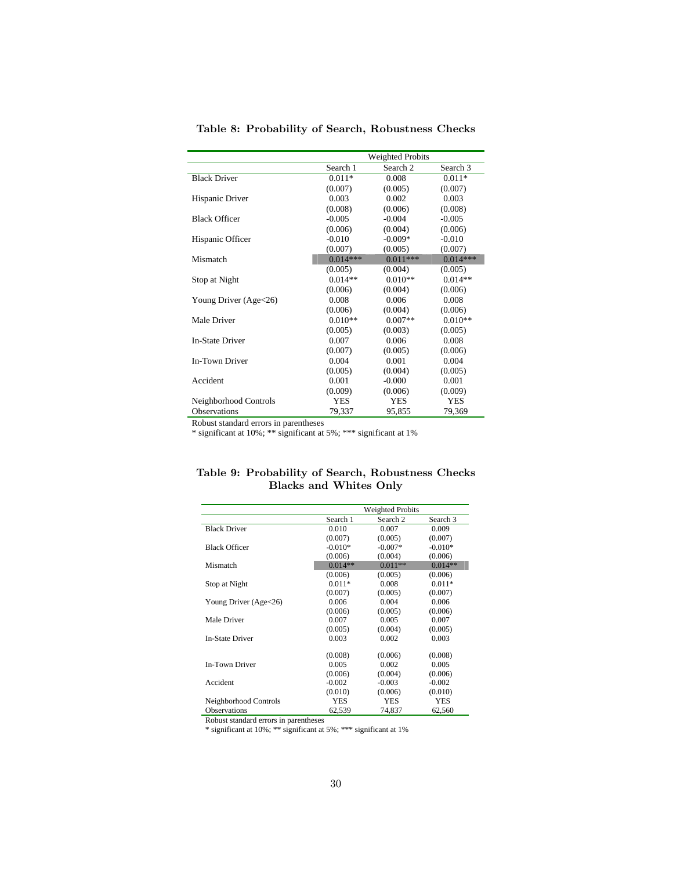|                        |            | <b>Weighted Probits</b> |            |
|------------------------|------------|-------------------------|------------|
|                        | Search 1   | Search <sub>2</sub>     | Search 3   |
| <b>Black Driver</b>    | $0.011*$   | 0.008                   | $0.011*$   |
|                        | (0.007)    | (0.005)                 | (0.007)    |
| Hispanic Driver        | 0.003      | 0.002                   | 0.003      |
|                        | (0.008)    | (0.006)                 | (0.008)    |
| <b>Black Officer</b>   | $-0.005$   | $-0.004$                | $-0.005$   |
|                        | (0.006)    | (0.004)                 | (0.006)    |
| Hispanic Officer       | $-0.010$   | $-0.009*$               | $-0.010$   |
|                        | (0.007)    | (0.005)                 | (0.007)    |
| Mismatch               | $0.014***$ | $0.011***$              | $0.014***$ |
|                        | (0.005)    | (0.004)                 | (0.005)    |
| Stop at Night          | $0.014**$  | $0.010**$               | $0.014**$  |
|                        | (0.006)    | (0.004)                 | (0.006)    |
| Young Driver (Age<26)  | 0.008      | 0.006                   | 0.008      |
|                        | (0.006)    | (0.004)                 | (0.006)    |
| Male Driver            | $0.010**$  | $0.007**$               | $0.010**$  |
|                        | (0.005)    | (0.003)                 | (0.005)    |
| <b>In-State Driver</b> | 0.007      | 0.006                   | 0.008      |
|                        | (0.007)    | (0.005)                 | (0.006)    |
| In-Town Driver         | 0.004      | 0.001                   | 0.004      |
|                        | (0.005)    | (0.004)                 | (0.005)    |
| Accident               | 0.001      | $-0.000$                | 0.001      |
|                        | (0.009)    | (0.006)                 | (0.009)    |
| Neighborhood Controls  | YES        | <b>YES</b>              | <b>YES</b> |
| Observations           | 79,337     | 95,855                  | 79,369     |

Table 8: Probability of Search, Robustness Checks

\* significant at 10%; \*\* significant at 5%; \*\*\* significant at 1%

|  |                               | Table 9: Probability of Search, Robustness Checks |  |
|--|-------------------------------|---------------------------------------------------|--|
|  | <b>Blacks and Whites Only</b> |                                                   |  |

|                         |           | <b>Weighted Probits</b> |            |
|-------------------------|-----------|-------------------------|------------|
|                         | Search 1  | Search <sub>2</sub>     | Search 3   |
| <b>Black Driver</b>     | 0.010     | 0.007                   | 0.009      |
|                         | (0.007)   | (0.005)                 | (0.007)    |
| <b>Black Officer</b>    | $-0.010*$ | $-0.007*$               | $-0.010*$  |
|                         | (0.006)   | (0.004)                 | (0.006)    |
| Mismatch                | $0.014**$ | $0.011**$               | $0.014**$  |
|                         | (0.006)   | (0.005)                 | (0.006)    |
| Stop at Night           | $0.011*$  | 0.008                   | $0.011*$   |
|                         | (0.007)   | (0.005)                 | (0.007)    |
| Young Driver $(Age<26)$ | 0.006     | 0.004                   | 0.006      |
|                         | (0.006)   | (0.005)                 | (0.006)    |
| Male Driver             | 0.007     | 0.005                   | 0.007      |
|                         | (0.005)   | (0.004)                 | (0.005)    |
| In-State Driver         | 0.003     | 0.002                   | 0.003      |
|                         | (0.008)   | (0.006)                 | (0.008)    |
| <b>In-Town Driver</b>   | 0.005     | 0.002                   | 0.005      |
|                         | (0.006)   | (0.004)                 | (0.006)    |
| Accident                | $-0.002$  | $-0.003$                | $-0.002$   |
|                         | (0.010)   | (0.006)                 | (0.010)    |
| Neighborhood Controls   | YES       | <b>YES</b>              | <b>YES</b> |
| <b>Observations</b>     | 62.539    | 74.837                  | 62.560     |

Robust standard errors in parentheses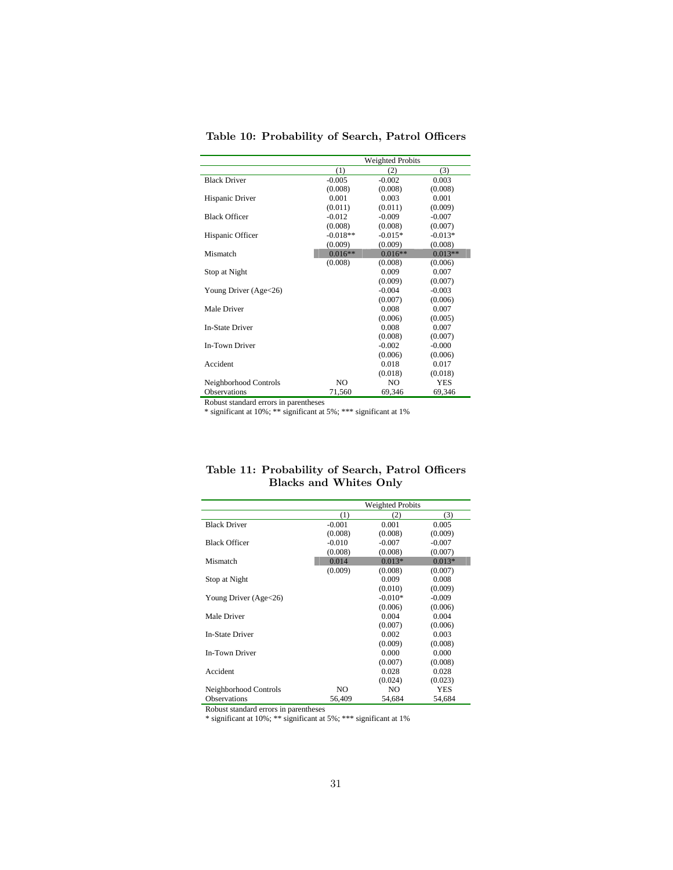|                        |                | <b>Weighted Probits</b> |            |  |  |  |
|------------------------|----------------|-------------------------|------------|--|--|--|
|                        | (1)            | (2)                     | (3)        |  |  |  |
| <b>Black Driver</b>    | $-0.005$       | $-0.002$                | 0.003      |  |  |  |
|                        | (0.008)        | (0.008)                 | (0.008)    |  |  |  |
| Hispanic Driver        | 0.001          | 0.003                   | 0.001      |  |  |  |
|                        | (0.011)        | (0.011)                 | (0.009)    |  |  |  |
| <b>Black Officer</b>   | $-0.012$       | $-0.009$                | $-0.007$   |  |  |  |
|                        | (0.008)        | (0.008)                 | (0.007)    |  |  |  |
| Hispanic Officer       | $-0.018**$     | $-0.015*$               | $-0.013*$  |  |  |  |
|                        | (0.009)        | (0.009)                 | (0.008)    |  |  |  |
| Mismatch               | $0.016**$      | $0.016**$               | $0.013**$  |  |  |  |
|                        | (0.008)        | (0.008)                 | (0.006)    |  |  |  |
| Stop at Night          |                | 0.009                   | 0.007      |  |  |  |
|                        |                | (0.009)                 | (0.007)    |  |  |  |
| Young Driver (Age<26)  |                | $-0.004$                | $-0.003$   |  |  |  |
|                        |                | (0.007)                 | (0.006)    |  |  |  |
| Male Driver            |                | 0.008                   | 0.007      |  |  |  |
|                        |                | (0.006)                 | (0.005)    |  |  |  |
| <b>In-State Driver</b> |                | 0.008                   | 0.007      |  |  |  |
|                        |                | (0.008)                 | (0.007)    |  |  |  |
| In-Town Driver         |                | $-0.002$                | $-0.000$   |  |  |  |
|                        |                | (0.006)                 | (0.006)    |  |  |  |
| Accident               |                | 0.018                   | 0.017      |  |  |  |
|                        |                | (0.018)                 | (0.018)    |  |  |  |
| Neighborhood Controls  | N <sub>O</sub> | N <sub>O</sub>          | <b>YES</b> |  |  |  |
| <b>Observations</b>    | 71,560         | 69,346                  | 69,346     |  |  |  |

Table 10: Probability of Search, Patrol Officers

\* significant at 10%; \*\* significant at 5%; \*\*\* significant at 1%

|                        | <b>Weighted Probits</b> |           |            |  |
|------------------------|-------------------------|-----------|------------|--|
|                        | (1)                     | (2)       | (3)        |  |
| <b>Black Driver</b>    | $-0.001$                | 0.001     | 0.005      |  |
|                        | (0.008)                 | (0.008)   | (0.009)    |  |
| <b>Black Officer</b>   | $-0.010$                | $-0.007$  | $-0.007$   |  |
|                        | (0.008)                 | (0.008)   | (0.007)    |  |
| Mismatch               | 0.014                   | $0.013*$  | $0.013*$   |  |
|                        | (0.009)                 | (0.008)   | (0.007)    |  |
| Stop at Night          |                         | 0.009     | 0.008      |  |
|                        |                         | (0.010)   | (0.009)    |  |
| Young Driver (Age<26)  |                         | $-0.010*$ | $-0.009$   |  |
|                        |                         | (0.006)   | (0.006)    |  |
| Male Driver            |                         | 0.004     | 0.004      |  |
|                        |                         | (0.007)   | (0.006)    |  |
| <b>In-State Driver</b> |                         | 0.002     | 0.003      |  |
|                        |                         | (0.009)   | (0.008)    |  |
| In-Town Driver         |                         | 0.000     | 0.000      |  |
|                        |                         | (0.007)   | (0.008)    |  |
| Accident               |                         | 0.028     | 0.028      |  |
|                        |                         | (0.024)   | (0.023)    |  |
| Neighborhood Controls  | NO.                     | NO.       | <b>YES</b> |  |
| <b>Observations</b>    | 56,409                  | 54,684    | 54,684     |  |

Table 11: Probability of Search, Patrol Officers Blacks and Whites Only

Robust standard errors in parentheses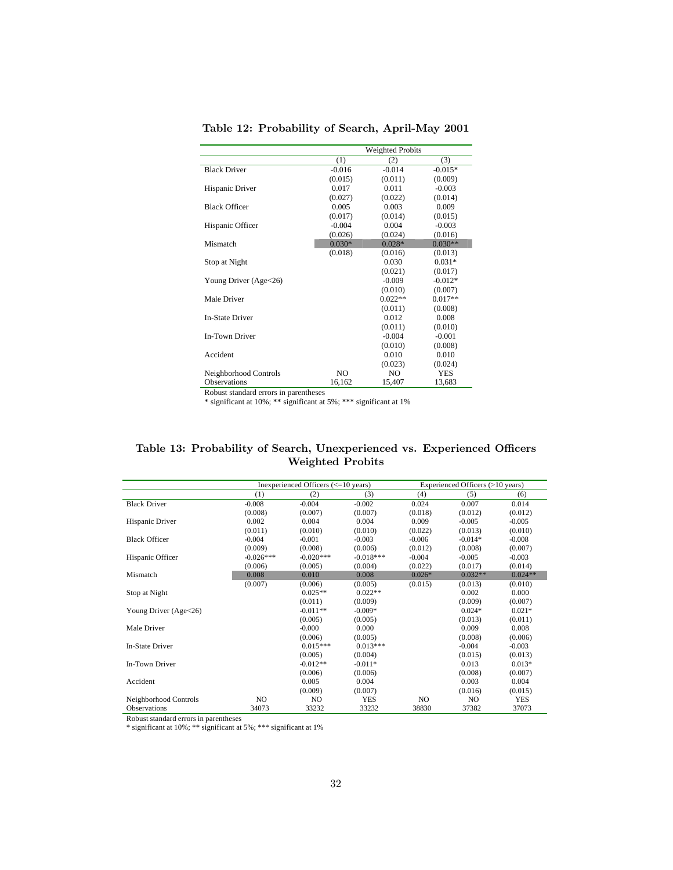|                        |          | Weighted Probits |           |  |
|------------------------|----------|------------------|-----------|--|
|                        | (1)      | (2)              | (3)       |  |
| <b>Black Driver</b>    | $-0.016$ | $-0.014$         | $-0.015*$ |  |
|                        | (0.015)  | (0.011)          | (0.009)   |  |
| Hispanic Driver        | 0.017    | 0.011            | $-0.003$  |  |
|                        | (0.027)  | (0.022)          | (0.014)   |  |
| <b>Black Officer</b>   | 0.005    | 0.003            | 0.009     |  |
|                        | (0.017)  | (0.014)          | (0.015)   |  |
| Hispanic Officer       | $-0.004$ | 0.004            | $-0.003$  |  |
|                        | (0.026)  | (0.024)          | (0.016)   |  |
| Mismatch               | $0.030*$ | $0.028*$         | $0.030**$ |  |
|                        | (0.018)  | (0.016)          | (0.013)   |  |
| Stop at Night          |          | 0.030            | $0.031*$  |  |
|                        |          | (0.021)          | (0.017)   |  |
| Young Driver (Age<26)  |          | $-0.009$         | $-0.012*$ |  |
|                        |          | (0.010)          | (0.007)   |  |
| Male Driver            |          | $0.022**$        | $0.017**$ |  |
|                        |          | (0.011)          | (0.008)   |  |
| <b>In-State Driver</b> |          | 0.012            | 0.008     |  |
|                        |          | (0.011)          | (0.010)   |  |
| In-Town Driver         |          | $-0.004$         | $-0.001$  |  |
|                        |          | (0.010)          | (0.008)   |  |
| Accident               |          | 0.010            | 0.010     |  |
|                        |          | (0.023)          | (0.024)   |  |
| Neighborhood Controls  | NO.      | NO.              | YES       |  |
| <b>Observations</b>    | 16,162   | 15,407           | 13,683    |  |

Table 12: Probability of Search, April-May 2001

\* significant at 10%; \*\* significant at 5%; \*\*\* significant at 1%

## Table 13: Probability of Search, Unexperienced vs. Experienced Officers Weighted Probits

|                         |             | Inexperienced Officers $\left( \leq 10 \right)$ years) |             |          | Experienced Officers (>10 years) |            |  |  |
|-------------------------|-------------|--------------------------------------------------------|-------------|----------|----------------------------------|------------|--|--|
|                         | (1)         | (2)                                                    | (3)         | (4)      | (5)                              | (6)        |  |  |
| <b>Black Driver</b>     | $-0.008$    | $-0.004$                                               | $-0.002$    | 0.024    | 0.007                            | 0.014      |  |  |
|                         | (0.008)     | (0.007)                                                | (0.007)     | (0.018)  | (0.012)                          | (0.012)    |  |  |
| Hispanic Driver         | 0.002       | 0.004                                                  | 0.004       | 0.009    | $-0.005$                         | $-0.005$   |  |  |
|                         | (0.011)     | (0.010)                                                | (0.010)     | (0.022)  | (0.013)                          | (0.010)    |  |  |
| <b>Black Officer</b>    | $-0.004$    | $-0.001$                                               | $-0.003$    | $-0.006$ | $-0.014*$                        | $-0.008$   |  |  |
|                         | (0.009)     | (0.008)                                                | (0.006)     | (0.012)  | (0.008)                          | (0.007)    |  |  |
| Hispanic Officer        | $-0.026***$ | $-0.020***$                                            | $-0.018***$ | $-0.004$ | $-0.005$                         | $-0.003$   |  |  |
|                         | (0.006)     | (0.005)                                                | (0.004)     | (0.022)  | (0.017)                          | (0.014)    |  |  |
| Mismatch                | 0.008       | 0.010                                                  | 0.008       | $0.026*$ | $0.032**$                        | $0.024**$  |  |  |
|                         | (0.007)     | (0.006)                                                | (0.005)     | (0.015)  | (0.013)                          | (0.010)    |  |  |
| Stop at Night           |             | $0.025**$                                              | $0.022**$   |          | 0.002                            | 0.000      |  |  |
|                         |             | (0.011)                                                | (0.009)     |          | (0.009)                          | (0.007)    |  |  |
| Young Driver $(Age<26)$ |             | $-0.011**$                                             | $-0.009*$   |          | $0.024*$                         | $0.021*$   |  |  |
|                         |             | (0.005)                                                | (0.005)     |          | (0.013)                          | (0.011)    |  |  |
| Male Driver             |             | $-0.000$                                               | 0.000       |          | 0.009                            | 0.008      |  |  |
|                         |             | (0.006)                                                | (0.005)     |          | (0.008)                          | (0.006)    |  |  |
| In-State Driver         |             | $0.015***$                                             | $0.013***$  |          | $-0.004$                         | $-0.003$   |  |  |
|                         |             | (0.005)                                                | (0.004)     |          | (0.015)                          | (0.013)    |  |  |
| In-Town Driver          |             | $-0.012**$                                             | $-0.011*$   |          | 0.013                            | $0.013*$   |  |  |
|                         |             | (0.006)                                                | (0.006)     |          | (0.008)                          | (0.007)    |  |  |
| Accident                |             | 0.005                                                  | 0.004       |          | 0.003                            | 0.004      |  |  |
|                         |             | (0.009)                                                | (0.007)     |          | (0.016)                          | (0.015)    |  |  |
| Neighborhood Controls   | NO          | NO                                                     | <b>YES</b>  | NO.      | NO                               | <b>YES</b> |  |  |
| <b>Observations</b>     | 34073       | 33232                                                  | 33232       | 38830    | 37382                            | 37073      |  |  |

Robust standard errors in parentheses